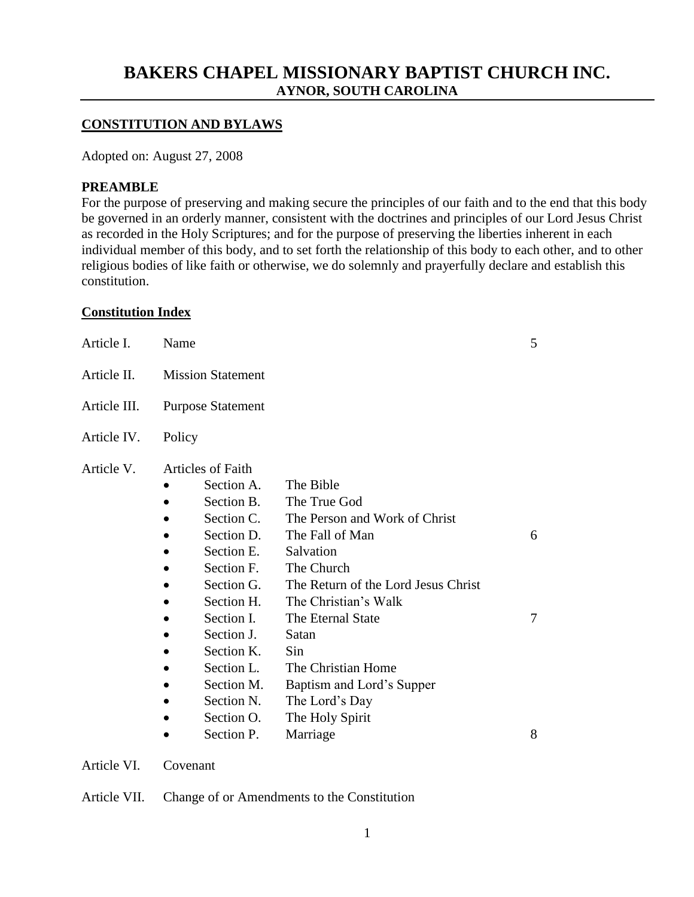- Article I. Name 5 Article II. Mission Statement Article III. Purpose Statement Article IV. Policy Article V. Articles of Faith • Section A. The Bible • Section B. The True God • Section C. The Person and Work of Christ • Section D. The Fall of Man 6 Section E. Salvation Section F. The Church • Section G. The Return of the Lord Jesus Christ • Section H. The Christian's Walk • Section I. The Eternal State 7 Section J. Satan • Section K. Sin Section L. The Christian Home Section M. Baptism and Lord's Supper • Section N. The Lord's Day
	- Section P. Marriage 8

Article VI. Covenant

Article VII. Change of or Amendments to the Constitution

### **BAKERS CHAPEL MISSIONARY BAPTIST CHURCH INC. AYNOR, SOUTH CAROLINA**

#### **CONSTITUTION AND BYLAWS**

Adopted on: August 27, 2008

### **PREAMBLE**

For the purpose of preserving and making secure the principles of our faith and to the end that this body be governed in an orderly manner, consistent with the doctrines and principles of our Lord Jesus Christ as recorded in the Holy Scriptures; and for the purpose of preserving the liberties inherent in each individual member of this body, and to set forth the relationship of this body to each other, and to other religious bodies of like faith or otherwise, we do solemnly and prayerfully declare and establish this constitution.

#### **Constitution Index**

- Section O. The Holy Spirit
-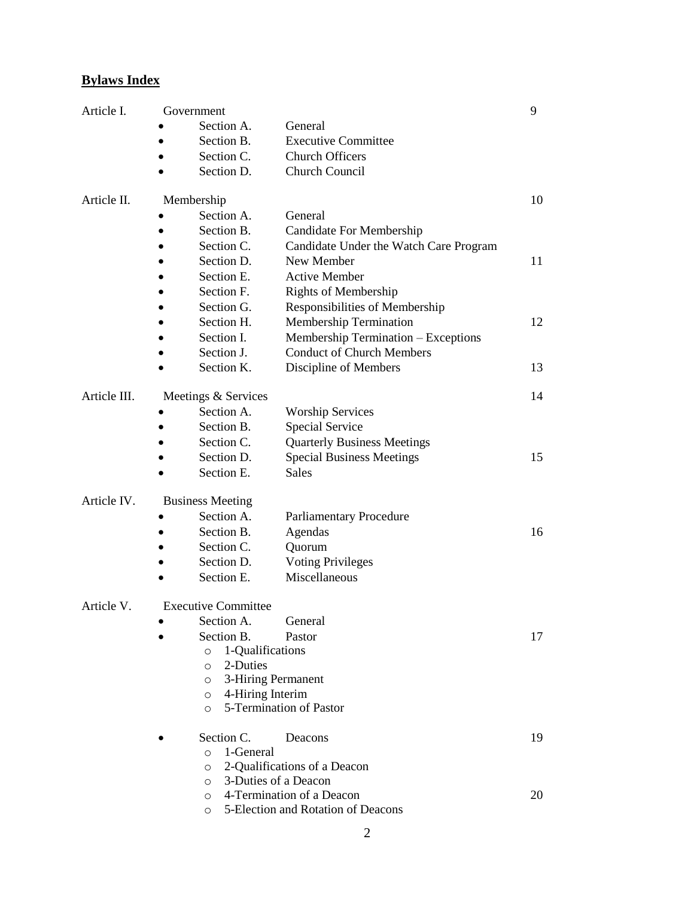### **Bylaws Index**

| Article I.   | Government                                        |                                        | 9  |
|--------------|---------------------------------------------------|----------------------------------------|----|
|              | Section A.                                        | General                                |    |
|              | Section B.                                        | <b>Executive Committee</b>             |    |
|              | Section C.                                        | <b>Church Officers</b>                 |    |
|              | Section D.                                        | Church Council                         |    |
| Article II.  | Membership                                        |                                        | 10 |
|              | Section A.                                        | General                                |    |
|              | Section B.                                        | Candidate For Membership               |    |
|              | Section C.                                        | Candidate Under the Watch Care Program |    |
|              | Section D.                                        | New Member                             | 11 |
|              | Section E.                                        | <b>Active Member</b>                   |    |
|              | Section F.                                        | <b>Rights of Membership</b>            |    |
|              | Section G.                                        | Responsibilities of Membership         |    |
|              | Section H.                                        | <b>Membership Termination</b>          | 12 |
|              | Section I.                                        | Membership Termination - Exceptions    |    |
|              | Section J.                                        | <b>Conduct of Church Members</b>       |    |
|              | Section K.                                        | Discipline of Members                  | 13 |
| Article III. | Meetings & Services                               |                                        | 14 |
|              | Section A.                                        | <b>Worship Services</b>                |    |
|              | Section B.                                        | <b>Special Service</b>                 |    |
|              | Section C.                                        | <b>Quarterly Business Meetings</b>     |    |
|              | Section D.                                        | <b>Special Business Meetings</b>       | 15 |
|              | Section E.                                        | <b>Sales</b>                           |    |
| Article IV.  | <b>Business Meeting</b>                           |                                        |    |
|              | Section A.                                        | <b>Parliamentary Procedure</b>         |    |
|              | Section B.                                        | Agendas                                | 16 |
|              | Section C.                                        | Quorum                                 |    |
|              | Section D.                                        | <b>Voting Privileges</b>               |    |
|              | Section E.                                        | Miscellaneous                          |    |
| Article V.   | <b>Executive Committee</b>                        |                                        |    |
|              | Section A.                                        | General                                |    |
|              | Section B.                                        | Pastor                                 | 17 |
|              | 1-Qualifications<br>$\circ$                       |                                        |    |
|              | 2-Duties<br>$\circ$                               |                                        |    |
|              | 3-Hiring Permanent<br>$\circ$<br>4-Hiring Interim |                                        |    |
|              | $\circ$<br>$\circ$                                | 5-Termination of Pastor                |    |
|              |                                                   |                                        |    |
|              | Section C.                                        | Deacons                                | 19 |
|              | 1-General<br>$\circ$                              |                                        |    |
|              | $\circ$<br>3-Duties of a Deacon<br>$\circ$        | 2-Qualifications of a Deacon           |    |
|              | $\circ$                                           | 4-Termination of a Deacon              | 20 |
|              | O                                                 | 5-Election and Rotation of Deacons     |    |
|              |                                                   |                                        |    |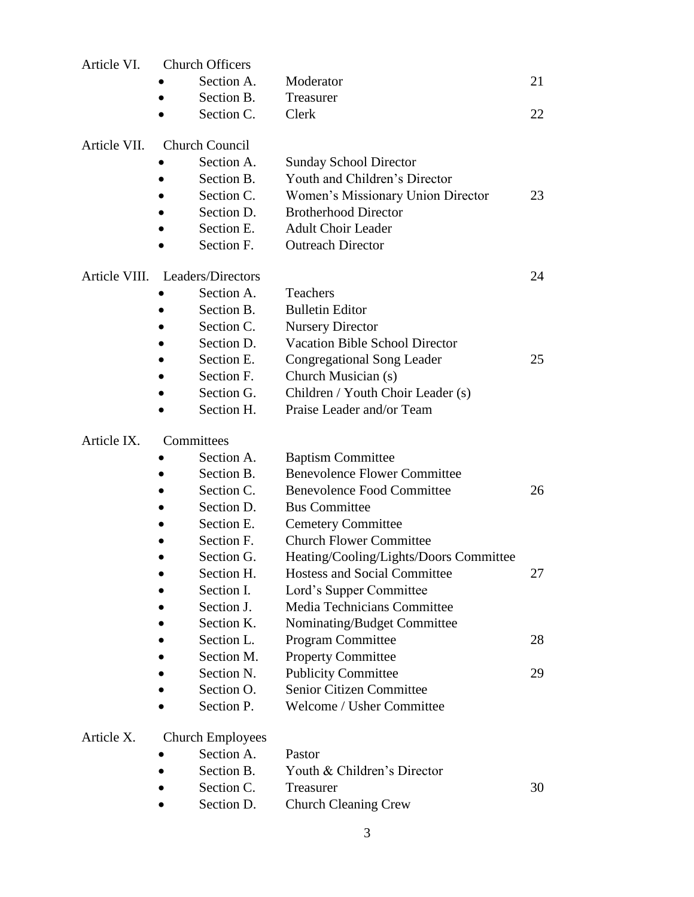| Article VI.  | <b>Church Officers</b>          |                                        |    |
|--------------|---------------------------------|----------------------------------------|----|
|              | Section A.<br>$\bullet$         | Moderator                              | 21 |
|              | Section B.                      | Treasurer                              |    |
|              | Section C.                      | Clerk                                  | 22 |
| Article VII. | Church Council                  |                                        |    |
|              | Section A.                      | <b>Sunday School Director</b>          |    |
|              | Section B.                      | Youth and Children's Director          |    |
|              | Section C.                      | Women's Missionary Union Director      | 23 |
|              | Section D.                      | <b>Brotherhood Director</b>            |    |
|              | Section E.                      | <b>Adult Choir Leader</b>              |    |
|              | Section F.                      | <b>Outreach Director</b>               |    |
|              | Article VIII. Leaders/Directors |                                        | 24 |
|              | Section A.                      | <b>Teachers</b>                        |    |
|              | Section B.                      | <b>Bulletin Editor</b>                 |    |
|              | Section C.                      | <b>Nursery Director</b>                |    |
|              | Section D.                      | <b>Vacation Bible School Director</b>  |    |
|              | Section E.                      | <b>Congregational Song Leader</b>      | 25 |
|              | Section F.                      | Church Musician (s)                    |    |
|              | Section G.                      | Children / Youth Choir Leader (s)      |    |
|              | Section H.                      | Praise Leader and/or Team              |    |
| Article IX.  | Committees                      |                                        |    |
|              | Section A.                      | <b>Baptism Committee</b>               |    |
|              | Section B.<br>$\bullet$         | <b>Benevolence Flower Committee</b>    |    |
|              | Section C.                      | <b>Benevolence Food Committee</b>      | 26 |
|              | Section D.                      | <b>Bus Committee</b>                   |    |
|              | Section E.                      | <b>Cemetery Committee</b>              |    |
|              | Section F.                      | <b>Church Flower Committee</b>         |    |
|              | Section G.                      | Heating/Cooling/Lights/Doors Committee |    |
|              | Section H.                      | <b>Hostess and Social Committee</b>    | 27 |
|              | Section I.                      | Lord's Supper Committee                |    |
|              | Section J.                      | Media Technicians Committee            |    |
|              | Section K.                      | Nominating/Budget Committee            |    |
|              | Section L.                      | <b>Program Committee</b>               | 28 |
|              | Section M.                      | <b>Property Committee</b>              |    |
|              | Section N.                      | <b>Publicity Committee</b>             | 29 |
|              | Section O.                      | <b>Senior Citizen Committee</b>        |    |
|              | Section P.                      | Welcome / Usher Committee              |    |
| Article X.   | <b>Church Employees</b>         |                                        |    |
|              | Section A.                      | Pastor                                 |    |
|              | Section B.                      | Youth & Children's Director            |    |
|              | Section C.                      | Treasurer                              | 30 |
|              | Section D.                      | <b>Church Cleaning Crew</b>            |    |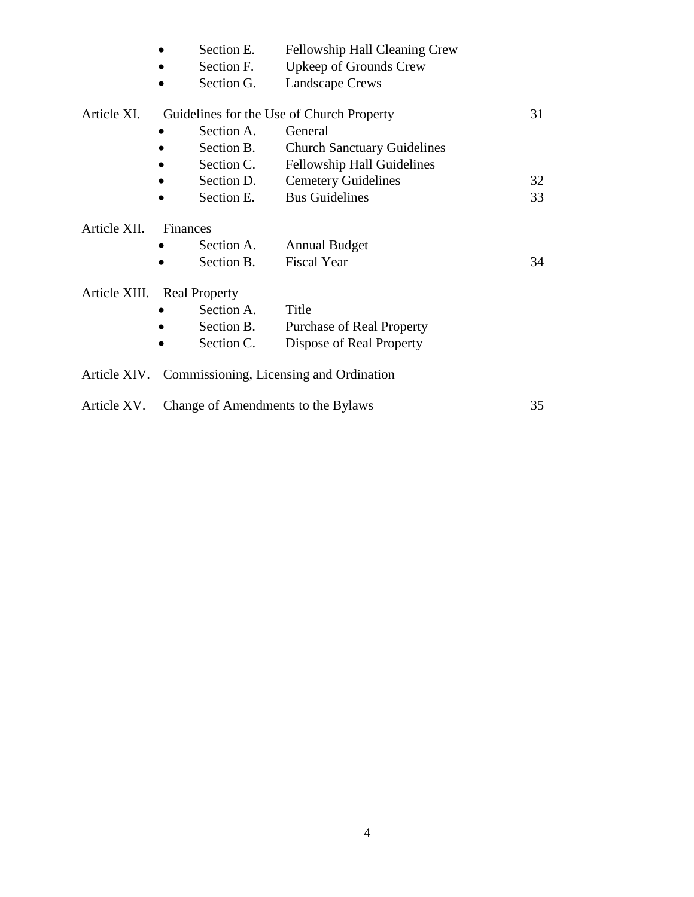|                       | Section E.                         | Fellowship Hall Cleaning Crew                        |    |
|-----------------------|------------------------------------|------------------------------------------------------|----|
|                       | Section F.                         | Upkeep of Grounds Crew                               |    |
|                       | Section G.                         | <b>Landscape Crews</b>                               |    |
| Article XI.           |                                    | Guidelines for the Use of Church Property            | 31 |
|                       | Section A.                         | General                                              |    |
|                       | Section B.                         | <b>Church Sanctuary Guidelines</b>                   |    |
|                       | Section C.                         | <b>Fellowship Hall Guidelines</b>                    |    |
|                       | Section D.                         | <b>Cemetery Guidelines</b>                           | 32 |
|                       | Section E.                         | <b>Bus Guidelines</b>                                | 33 |
| Article XII. Finances |                                    |                                                      |    |
|                       | Section A.                         | <b>Annual Budget</b>                                 |    |
|                       | Section B.                         | <b>Fiscal Year</b>                                   | 34 |
|                       | Article XIII. Real Property        |                                                      |    |
|                       | Section A.                         | Title                                                |    |
|                       | Section B.                         | <b>Purchase of Real Property</b>                     |    |
|                       | Section C.                         | Dispose of Real Property                             |    |
|                       |                                    | Article XIV. Commissioning, Licensing and Ordination |    |
| Article XV.           |                                    |                                                      | 35 |
|                       | Change of Amendments to the Bylaws |                                                      |    |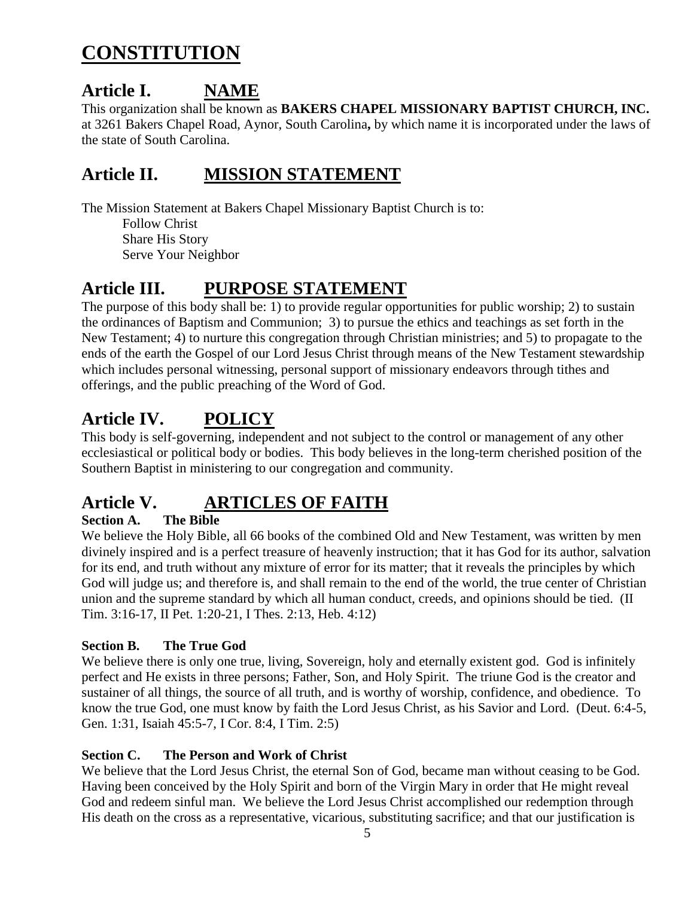# **CONSTITUTION**

# **Article I. NAME**

This organization shall be known as **BAKERS CHAPEL MISSIONARY BAPTIST CHURCH, INC.**  at 3261 Bakers Chapel Road, Aynor, South Carolina**,** by which name it is incorporated under the laws of the state of South Carolina.

### **Article II. MISSION STATEMENT**

The Mission Statement at Bakers Chapel Missionary Baptist Church is to:

Follow Christ Share His Story Serve Your Neighbor

# **Article III. PURPOSE STATEMENT**

The purpose of this body shall be: 1) to provide regular opportunities for public worship; 2) to sustain the ordinances of Baptism and Communion; 3) to pursue the ethics and teachings as set forth in the New Testament; 4) to nurture this congregation through Christian ministries; and 5) to propagate to the ends of the earth the Gospel of our Lord Jesus Christ through means of the New Testament stewardship which includes personal witnessing, personal support of missionary endeavors through tithes and offerings, and the public preaching of the Word of God.

# **Article IV. POLICY**

This body is self-governing, independent and not subject to the control or management of any other ecclesiastical or political body or bodies. This body believes in the long-term cherished position of the Southern Baptist in ministering to our congregation and community.

# **Article V. ARTICLES OF FAITH**

### **Section A. The Bible**

We believe the Holy Bible, all 66 books of the combined Old and New Testament, was written by men divinely inspired and is a perfect treasure of heavenly instruction; that it has God for its author, salvation for its end, and truth without any mixture of error for its matter; that it reveals the principles by which God will judge us; and therefore is, and shall remain to the end of the world, the true center of Christian union and the supreme standard by which all human conduct, creeds, and opinions should be tied. (II Tim. 3:16-17, II Pet. 1:20-21, I Thes. 2:13, Heb. 4:12)

### **Section B. The True God**

We believe there is only one true, living, Sovereign, holy and eternally existent god. God is infinitely perfect and He exists in three persons; Father, Son, and Holy Spirit. The triune God is the creator and sustainer of all things, the source of all truth, and is worthy of worship, confidence, and obedience. To know the true God, one must know by faith the Lord Jesus Christ, as his Savior and Lord. (Deut. 6:4-5, Gen. 1:31, Isaiah 45:5-7, I Cor. 8:4, I Tim. 2:5)

### **Section C. The Person and Work of Christ**

We believe that the Lord Jesus Christ, the eternal Son of God, became man without ceasing to be God. Having been conceived by the Holy Spirit and born of the Virgin Mary in order that He might reveal God and redeem sinful man. We believe the Lord Jesus Christ accomplished our redemption through His death on the cross as a representative, vicarious, substituting sacrifice; and that our justification is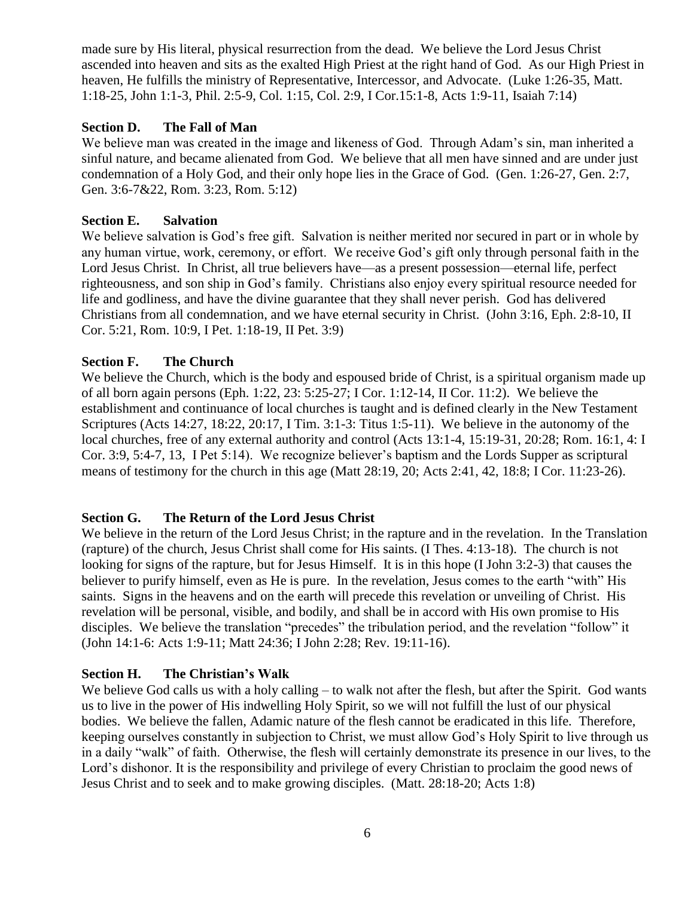made sure by His literal, physical resurrection from the dead. We believe the Lord Jesus Christ ascended into heaven and sits as the exalted High Priest at the right hand of God. As our High Priest in heaven, He fulfills the ministry of Representative, Intercessor, and Advocate. (Luke 1:26-35, Matt. 1:18-25, John 1:1-3, Phil. 2:5-9, Col. 1:15, Col. 2:9, I Cor.15:1-8, Acts 1:9-11, Isaiah 7:14)

#### **Section D. The Fall of Man**

We believe man was created in the image and likeness of God. Through Adam's sin, man inherited a sinful nature, and became alienated from God. We believe that all men have sinned and are under just condemnation of a Holy God, and their only hope lies in the Grace of God. (Gen. 1:26-27, Gen. 2:7, Gen. 3:6-7&22, Rom. 3:23, Rom. 5:12)

#### **Section E. Salvation**

We believe salvation is God's free gift. Salvation is neither merited nor secured in part or in whole by any human virtue, work, ceremony, or effort. We receive God's gift only through personal faith in the Lord Jesus Christ. In Christ, all true believers have—as a present possession—eternal life, perfect righteousness, and son ship in God's family. Christians also enjoy every spiritual resource needed for life and godliness, and have the divine guarantee that they shall never perish. God has delivered Christians from all condemnation, and we have eternal security in Christ. (John 3:16, Eph. 2:8-10, II Cor. 5:21, Rom. 10:9, I Pet. 1:18-19, II Pet. 3:9)

#### **Section F. The Church**

We believe the Church, which is the body and espoused bride of Christ, is a spiritual organism made up of all born again persons (Eph. 1:22, 23: 5:25-27; I Cor. 1:12-14, II Cor. 11:2). We believe the establishment and continuance of local churches is taught and is defined clearly in the New Testament Scriptures (Acts 14:27, 18:22, 20:17, I Tim. 3:1-3: Titus 1:5-11). We believe in the autonomy of the local churches, free of any external authority and control (Acts 13:1-4, 15:19-31, 20:28; Rom. 16:1, 4: I Cor. 3:9, 5:4-7, 13, I Pet 5:14). We recognize believer's baptism and the Lords Supper as scriptural means of testimony for the church in this age (Matt 28:19, 20; Acts 2:41, 42, 18:8; I Cor. 11:23-26).

#### **Section G. The Return of the Lord Jesus Christ**

We believe in the return of the Lord Jesus Christ; in the rapture and in the revelation. In the Translation (rapture) of the church, Jesus Christ shall come for His saints. (I Thes. 4:13-18). The church is not looking for signs of the rapture, but for Jesus Himself. It is in this hope (I John 3:2-3) that causes the believer to purify himself, even as He is pure. In the revelation, Jesus comes to the earth "with" His saints. Signs in the heavens and on the earth will precede this revelation or unveiling of Christ. His revelation will be personal, visible, and bodily, and shall be in accord with His own promise to His disciples. We believe the translation "precedes" the tribulation period, and the revelation "follow" it (John 14:1-6: Acts 1:9-11; Matt 24:36; I John 2:28; Rev. 19:11-16).

#### **Section H. The Christian's Walk**

We believe God calls us with a holy calling – to walk not after the flesh, but after the Spirit. God wants us to live in the power of His indwelling Holy Spirit, so we will not fulfill the lust of our physical bodies. We believe the fallen, Adamic nature of the flesh cannot be eradicated in this life. Therefore, keeping ourselves constantly in subjection to Christ, we must allow God's Holy Spirit to live through us in a daily "walk" of faith. Otherwise, the flesh will certainly demonstrate its presence in our lives, to the Lord's dishonor. It is the responsibility and privilege of every Christian to proclaim the good news of Jesus Christ and to seek and to make growing disciples. (Matt. 28:18-20; Acts 1:8)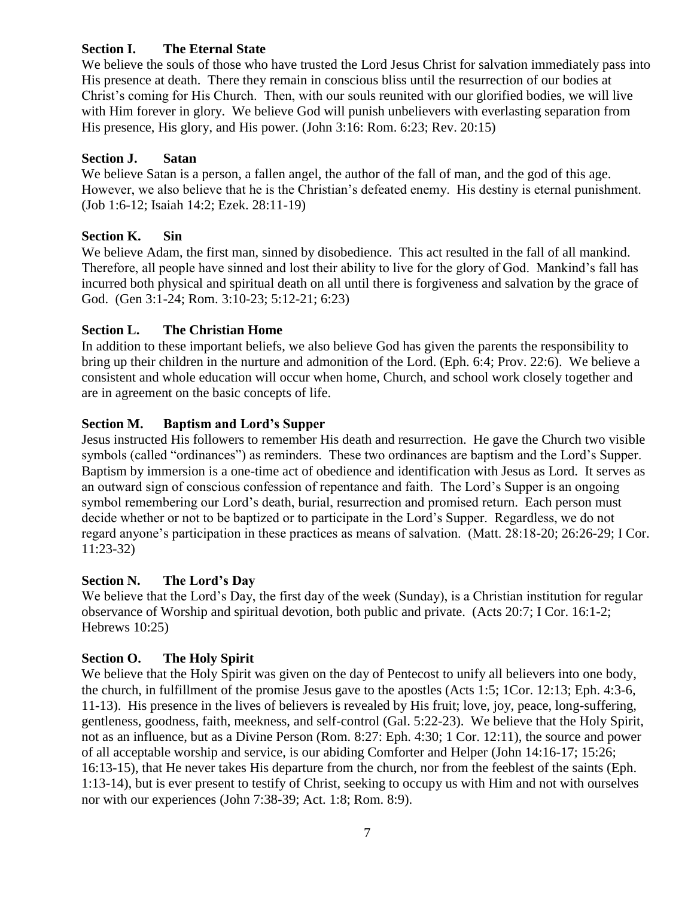#### **Section I. The Eternal State**

We believe the souls of those who have trusted the Lord Jesus Christ for salvation immediately pass into His presence at death. There they remain in conscious bliss until the resurrection of our bodies at Christ's coming for His Church. Then, with our souls reunited with our glorified bodies, we will live with Him forever in glory. We believe God will punish unbelievers with everlasting separation from His presence, His glory, and His power. (John 3:16: Rom. 6:23; Rev. 20:15)

#### **Section J. Satan**

We believe Satan is a person, a fallen angel, the author of the fall of man, and the god of this age. However, we also believe that he is the Christian's defeated enemy. His destiny is eternal punishment. (Job 1:6-12; Isaiah 14:2; Ezek. 28:11-19)

#### **Section K. Sin**

We believe Adam, the first man, sinned by disobedience. This act resulted in the fall of all mankind. Therefore, all people have sinned and lost their ability to live for the glory of God. Mankind's fall has incurred both physical and spiritual death on all until there is forgiveness and salvation by the grace of God. (Gen 3:1-24; Rom. 3:10-23; 5:12-21; 6:23)

#### **Section L. The Christian Home**

In addition to these important beliefs, we also believe God has given the parents the responsibility to bring up their children in the nurture and admonition of the Lord. (Eph. 6:4; Prov. 22:6). We believe a consistent and whole education will occur when home, Church, and school work closely together and are in agreement on the basic concepts of life.

#### **Section M. Baptism and Lord's Supper**

Jesus instructed His followers to remember His death and resurrection. He gave the Church two visible symbols (called "ordinances") as reminders. These two ordinances are baptism and the Lord's Supper. Baptism by immersion is a one-time act of obedience and identification with Jesus as Lord. It serves as an outward sign of conscious confession of repentance and faith. The Lord's Supper is an ongoing symbol remembering our Lord's death, burial, resurrection and promised return. Each person must decide whether or not to be baptized or to participate in the Lord's Supper. Regardless, we do not regard anyone's participation in these practices as means of salvation. (Matt. 28:18-20; 26:26-29; I Cor. 11:23-32)

#### **Section N. The Lord's Day**

We believe that the Lord's Day, the first day of the week (Sunday), is a Christian institution for regular observance of Worship and spiritual devotion, both public and private. (Acts 20:7; I Cor. 16:1-2; Hebrews 10:25)

#### **Section O. The Holy Spirit**

We believe that the Holy Spirit was given on the day of Pentecost to unify all believers into one body, the church, in fulfillment of the promise Jesus gave to the apostles (Acts 1:5; 1Cor. 12:13; Eph. 4:3-6, 11-13). His presence in the lives of believers is revealed by His fruit; love, joy, peace, long-suffering, gentleness, goodness, faith, meekness, and self-control (Gal. 5:22-23). We believe that the Holy Spirit, not as an influence, but as a Divine Person (Rom. 8:27: Eph. 4:30; 1 Cor. 12:11), the source and power of all acceptable worship and service, is our abiding Comforter and Helper (John 14:16-17; 15:26; 16:13-15), that He never takes His departure from the church, nor from the feeblest of the saints (Eph. 1:13-14), but is ever present to testify of Christ, seeking to occupy us with Him and not with ourselves nor with our experiences (John 7:38-39; Act. 1:8; Rom. 8:9).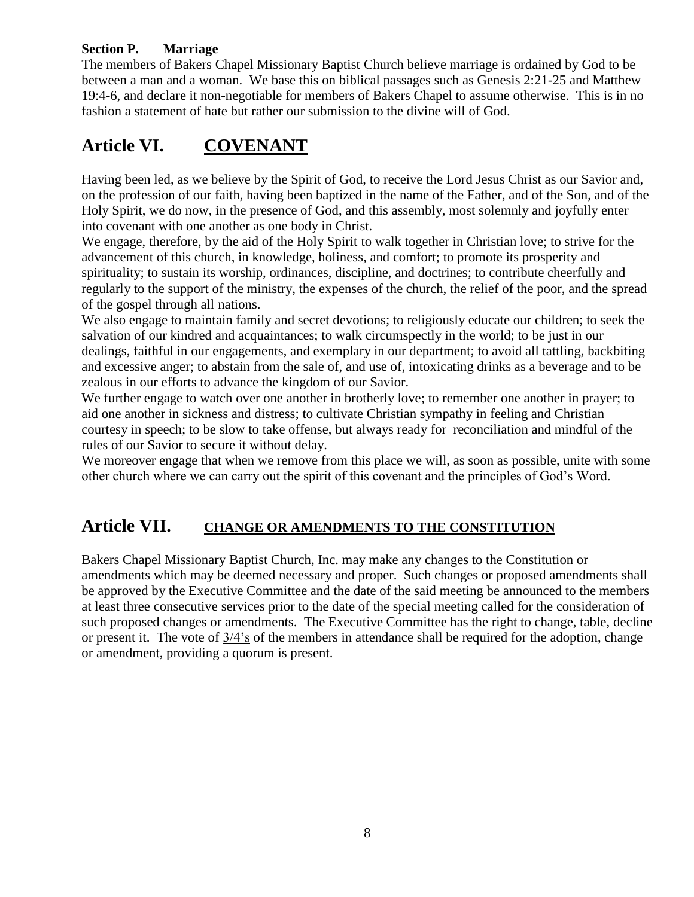#### **Section P. Marriage**

The members of Bakers Chapel Missionary Baptist Church believe marriage is ordained by God to be between a man and a woman. We base this on biblical passages such as Genesis 2:21-25 and Matthew 19:4-6, and declare it non-negotiable for members of Bakers Chapel to assume otherwise. This is in no fashion a statement of hate but rather our submission to the divine will of God.

# **Article VI. COVENANT**

Having been led, as we believe by the Spirit of God, to receive the Lord Jesus Christ as our Savior and, on the profession of our faith, having been baptized in the name of the Father, and of the Son, and of the Holy Spirit, we do now, in the presence of God, and this assembly, most solemnly and joyfully enter into covenant with one another as one body in Christ.

We engage, therefore, by the aid of the Holy Spirit to walk together in Christian love; to strive for the advancement of this church, in knowledge, holiness, and comfort; to promote its prosperity and spirituality; to sustain its worship, ordinances, discipline, and doctrines; to contribute cheerfully and regularly to the support of the ministry, the expenses of the church, the relief of the poor, and the spread of the gospel through all nations.

We also engage to maintain family and secret devotions; to religiously educate our children; to seek the salvation of our kindred and acquaintances; to walk circumspectly in the world; to be just in our dealings, faithful in our engagements, and exemplary in our department; to avoid all tattling, backbiting and excessive anger; to abstain from the sale of, and use of, intoxicating drinks as a beverage and to be zealous in our efforts to advance the kingdom of our Savior.

We further engage to watch over one another in brotherly love; to remember one another in prayer; to aid one another in sickness and distress; to cultivate Christian sympathy in feeling and Christian courtesy in speech; to be slow to take offense, but always ready for reconciliation and mindful of the rules of our Savior to secure it without delay.

We moreover engage that when we remove from this place we will, as soon as possible, unite with some other church where we can carry out the spirit of this covenant and the principles of God's Word.

### **Article VII. CHANGE OR AMENDMENTS TO THE CONSTITUTION**

Bakers Chapel Missionary Baptist Church, Inc. may make any changes to the Constitution or amendments which may be deemed necessary and proper. Such changes or proposed amendments shall be approved by the Executive Committee and the date of the said meeting be announced to the members at least three consecutive services prior to the date of the special meeting called for the consideration of such proposed changes or amendments. The Executive Committee has the right to change, table, decline or present it. The vote of 3/4's of the members in attendance shall be required for the adoption, change or amendment, providing a quorum is present.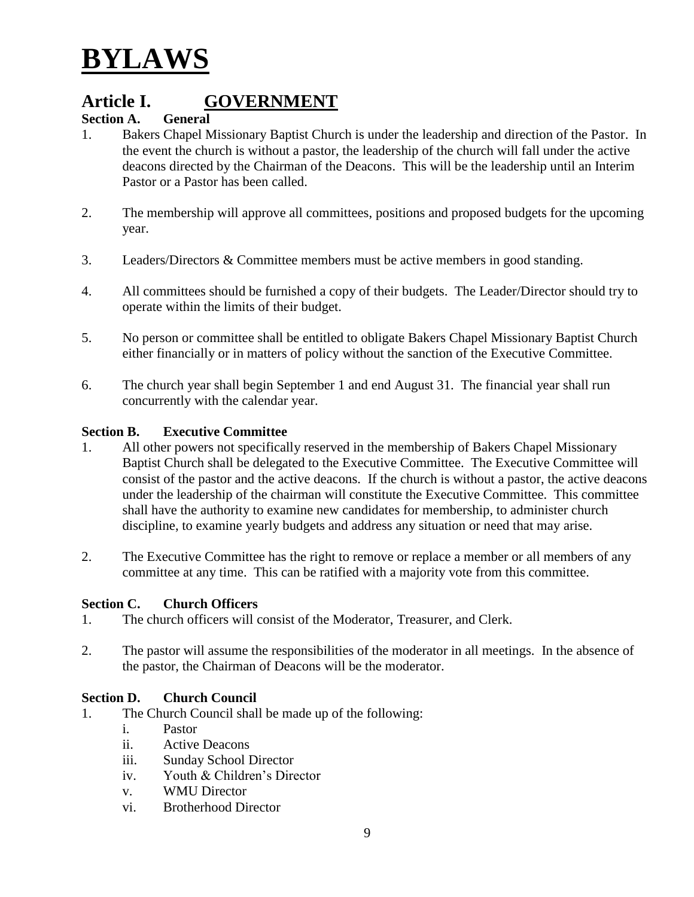### **Article I. GOVERNMENT**

#### **Section A. General**

- 1. Bakers Chapel Missionary Baptist Church is under the leadership and direction of the Pastor. In the event the church is without a pastor, the leadership of the church will fall under the active deacons directed by the Chairman of the Deacons. This will be the leadership until an Interim Pastor or a Pastor has been called.
- 2. The membership will approve all committees, positions and proposed budgets for the upcoming year.
- 3. Leaders/Directors & Committee members must be active members in good standing.
- 4. All committees should be furnished a copy of their budgets. The Leader/Director should try to operate within the limits of their budget.
- 5. No person or committee shall be entitled to obligate Bakers Chapel Missionary Baptist Church either financially or in matters of policy without the sanction of the Executive Committee.
- 6. The church year shall begin September 1 and end August 31. The financial year shall run concurrently with the calendar year.

#### **Section B. Executive Committee**

- 1. All other powers not specifically reserved in the membership of Bakers Chapel Missionary Baptist Church shall be delegated to the Executive Committee. The Executive Committee will consist of the pastor and the active deacons. If the church is without a pastor, the active deacons under the leadership of the chairman will constitute the Executive Committee. This committee shall have the authority to examine new candidates for membership, to administer church discipline, to examine yearly budgets and address any situation or need that may arise.
- 2. The Executive Committee has the right to remove or replace a member or all members of any committee at any time. This can be ratified with a majority vote from this committee.

#### **Section C. Church Officers**

- 1. The church officers will consist of the Moderator, Treasurer, and Clerk.
- 2. The pastor will assume the responsibilities of the moderator in all meetings. In the absence of the pastor, the Chairman of Deacons will be the moderator.

#### **Section D. Church Council**

- 1. The Church Council shall be made up of the following:
	- i. Pastor
	- ii. Active Deacons
	- iii. Sunday School Director
	- iv. Youth & Children's Director
	- v. WMU Director
	- vi. Brotherhood Director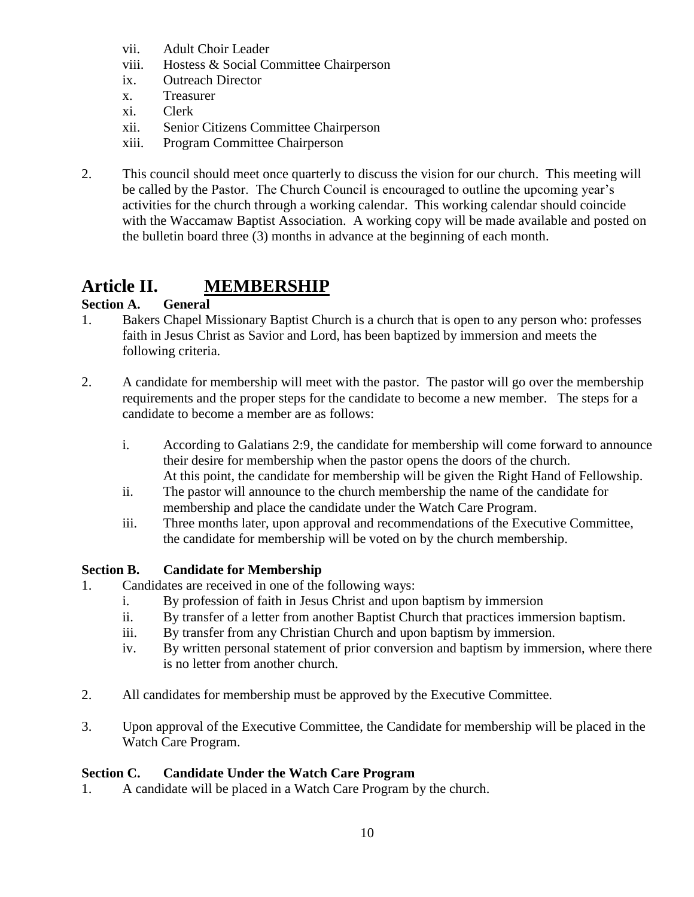- vii. Adult Choir Leader
- viii. Hostess & Social Committee Chairperson
- ix. Outreach Director
- x. Treasurer
- xi. Clerk
- xii. Senior Citizens Committee Chairperson
- xiii. Program Committee Chairperson
- 2. This council should meet once quarterly to discuss the vision for our church. This meeting will be called by the Pastor. The Church Council is encouraged to outline the upcoming year's activities for the church through a working calendar. This working calendar should coincide with the Waccamaw Baptist Association. A working copy will be made available and posted on the bulletin board three (3) months in advance at the beginning of each month.

# **Article II. MEMBERSHIP**

#### **Section A. General**

- 1. Bakers Chapel Missionary Baptist Church is a church that is open to any person who: professes faith in Jesus Christ as Savior and Lord, has been baptized by immersion and meets the following criteria.
- 2. A candidate for membership will meet with the pastor. The pastor will go over the membership requirements and the proper steps for the candidate to become a new member. The steps for a candidate to become a member are as follows:
	- i. According to Galatians 2:9, the candidate for membership will come forward to announce their desire for membership when the pastor opens the doors of the church. At this point, the candidate for membership will be given the Right Hand of Fellowship.
	- ii. The pastor will announce to the church membership the name of the candidate for membership and place the candidate under the Watch Care Program.
	- iii. Three months later, upon approval and recommendations of the Executive Committee, the candidate for membership will be voted on by the church membership.

#### **Section B. Candidate for Membership**

- 1. Candidates are received in one of the following ways:
	- i. By profession of faith in Jesus Christ and upon baptism by immersion
	- ii. By transfer of a letter from another Baptist Church that practices immersion baptism.
	- iii. By transfer from any Christian Church and upon baptism by immersion.
	- iv. By written personal statement of prior conversion and baptism by immersion, where there is no letter from another church.
- 2. All candidates for membership must be approved by the Executive Committee.
- 3. Upon approval of the Executive Committee, the Candidate for membership will be placed in the Watch Care Program.

#### **Section C. Candidate Under the Watch Care Program**

1. A candidate will be placed in a Watch Care Program by the church.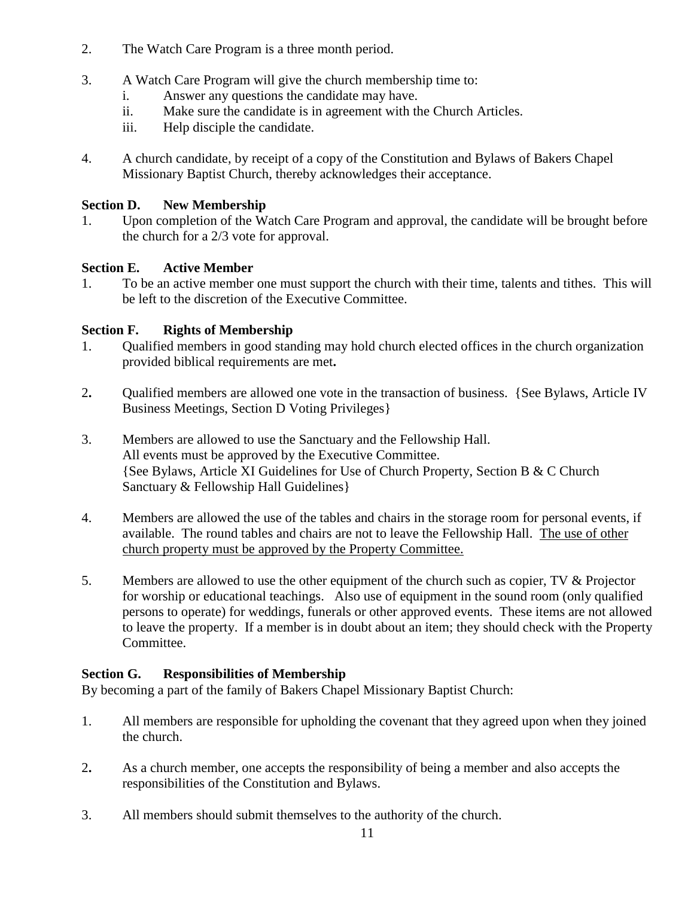- 2. The Watch Care Program is a three month period.
- 3. A Watch Care Program will give the church membership time to:
	- i. Answer any questions the candidate may have.
	- ii. Make sure the candidate is in agreement with the Church Articles.
	- iii. Help disciple the candidate.
- 4. A church candidate, by receipt of a copy of the Constitution and Bylaws of Bakers Chapel Missionary Baptist Church, thereby acknowledges their acceptance.

#### **Section D. New Membership**

1. Upon completion of the Watch Care Program and approval, the candidate will be brought before the church for a 2/3 vote for approval.

#### **Section E. Active Member**

1. To be an active member one must support the church with their time, talents and tithes. This will be left to the discretion of the Executive Committee.

#### **Section F. Rights of Membership**

- 1. Qualified members in good standing may hold church elected offices in the church organization provided biblical requirements are met**.**
- 2**.** Qualified members are allowed one vote in the transaction of business. {See Bylaws, Article IV Business Meetings, Section D Voting Privileges}
- 3.Members are allowed to use the Sanctuary and the Fellowship Hall. All events must be approved by the Executive Committee. {See Bylaws, Article XI Guidelines for Use of Church Property, Section B & C Church Sanctuary & Fellowship Hall Guidelines}
- 4. Members are allowed the use of the tables and chairs in the storage room for personal events, if available. The round tables and chairs are not to leave the Fellowship Hall. The use of other church property must be approved by the Property Committee.
- 5. Members are allowed to use the other equipment of the church such as copier, TV & Projector for worship or educational teachings. Also use of equipment in the sound room (only qualified persons to operate) for weddings, funerals or other approved events. These items are not allowed to leave the property. If a member is in doubt about an item; they should check with the Property Committee.

#### **Section G. Responsibilities of Membership**

By becoming a part of the family of Bakers Chapel Missionary Baptist Church:

- 1. All members are responsible for upholding the covenant that they agreed upon when they joined the church.
- 2**.** As a church member, one accepts the responsibility of being a member and also accepts the responsibilities of the Constitution and Bylaws.
- 3. All members should submit themselves to the authority of the church.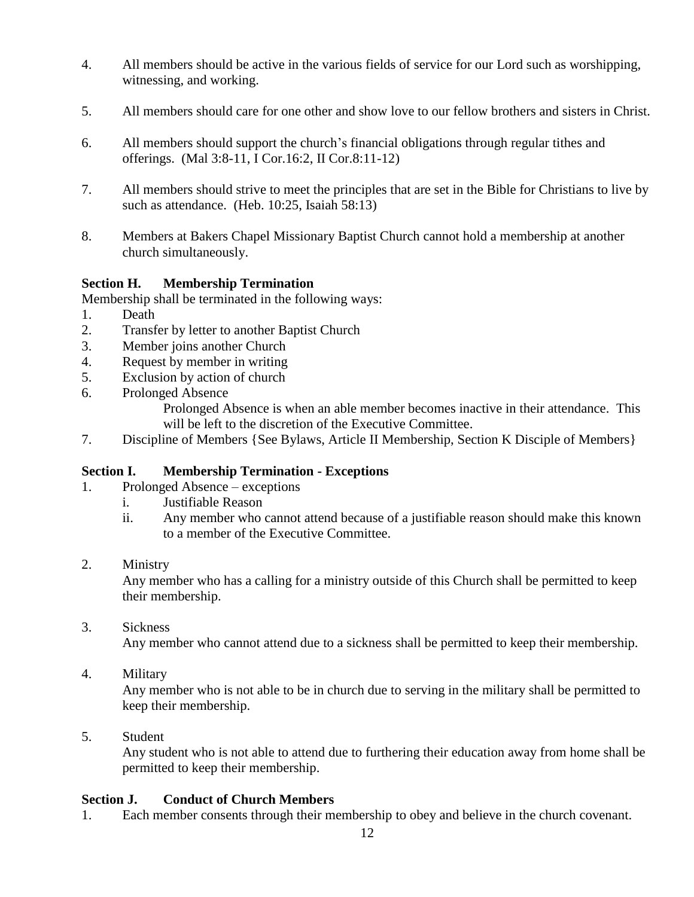- 4. All members should be active in the various fields of service for our Lord such as worshipping, witnessing, and working.
- 5. All members should care for one other and show love to our fellow brothers and sisters in Christ.
- 6. All members should support the church's financial obligations through regular tithes and offerings. (Mal 3:8-11, I Cor.16:2, II Cor.8:11-12)
- 7. All members should strive to meet the principles that are set in the Bible for Christians to live by such as attendance. (Heb. 10:25, Isaiah 58:13)
- 8. Members at Bakers Chapel Missionary Baptist Church cannot hold a membership at another church simultaneously.

#### **Section H. Membership Termination**

Membership shall be terminated in the following ways:

- 1. Death
- 2. Transfer by letter to another Baptist Church
- 3. Member joins another Church
- 4. Request by member in writing
- 5. Exclusion by action of church
- 6. Prolonged Absence

Prolonged Absence is when an able member becomes inactive in their attendance. This will be left to the discretion of the Executive Committee.

7. Discipline of Members {See Bylaws, Article II Membership, Section K Disciple of Members}

#### **Section I. Membership Termination - Exceptions**

- 1. Prolonged Absence exceptions
	- i. Justifiable Reason
	- ii. Any member who cannot attend because of a justifiable reason should make this known to a member of the Executive Committee.
- 2. Ministry

Any member who has a calling for a ministry outside of this Church shall be permitted to keep their membership.

3. Sickness

Any member who cannot attend due to a sickness shall be permitted to keep their membership.

4. Military

Any member who is not able to be in church due to serving in the military shall be permitted to keep their membership.

5. Student

Any student who is not able to attend due to furthering their education away from home shall be permitted to keep their membership.

#### **Section J. Conduct of Church Members**

1. Each member consents through their membership to obey and believe in the church covenant.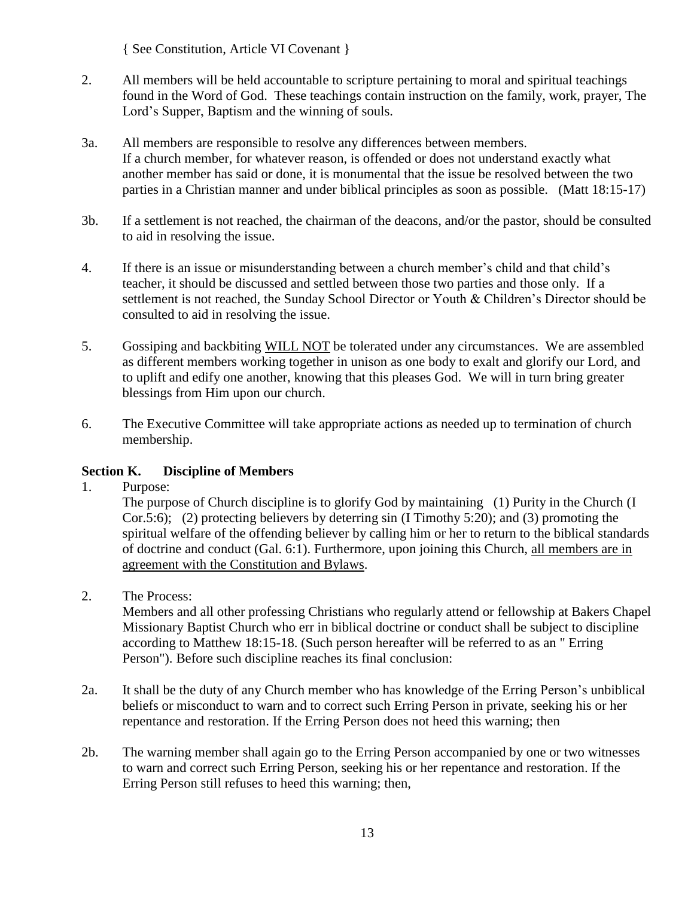{ See Constitution, Article VI Covenant }

- 2. All members will be held accountable to scripture pertaining to moral and spiritual teachings found in the Word of God. These teachings contain instruction on the family, work, prayer, The Lord's Supper, Baptism and the winning of souls.
- 3a. All members are responsible to resolve any differences between members. If a church member, for whatever reason, is offended or does not understand exactly what another member has said or done, it is monumental that the issue be resolved between the two parties in a Christian manner and under biblical principles as soon as possible. (Matt 18:15-17)
- 3b. If a settlement is not reached, the chairman of the deacons, and/or the pastor, should be consulted to aid in resolving the issue.
- 4. If there is an issue or misunderstanding between a church member's child and that child's teacher, it should be discussed and settled between those two parties and those only. If a settlement is not reached, the Sunday School Director or Youth & Children's Director should be consulted to aid in resolving the issue.
- 5. Gossiping and backbiting WILL NOT be tolerated under any circumstances. We are assembled as different members working together in unison as one body to exalt and glorify our Lord, and to uplift and edify one another, knowing that this pleases God. We will in turn bring greater blessings from Him upon our church.
- 6. The Executive Committee will take appropriate actions as needed up to termination of church membership.

#### **Section K. Discipline of Members**

1. Purpose:

The purpose of Church discipline is to glorify God by maintaining (1) Purity in the Church (I Cor.5:6); (2) protecting believers by deterring sin (I Timothy 5:20); and (3) promoting the spiritual welfare of the offending believer by calling him or her to return to the biblical standards of doctrine and conduct (Gal. 6:1). Furthermore, upon joining this Church, all members are in agreement with the Constitution and Bylaws.

2. The Process:

Members and all other professing Christians who regularly attend or fellowship at Bakers Chapel Missionary Baptist Church who err in biblical doctrine or conduct shall be subject to discipline according to Matthew 18:15-18. (Such person hereafter will be referred to as an " Erring Person"). Before such discipline reaches its final conclusion:

- 2a. It shall be the duty of any Church member who has knowledge of the Erring Person's unbiblical beliefs or misconduct to warn and to correct such Erring Person in private, seeking his or her repentance and restoration. If the Erring Person does not heed this warning; then
- 2b. The warning member shall again go to the Erring Person accompanied by one or two witnesses to warn and correct such Erring Person, seeking his or her repentance and restoration. If the Erring Person still refuses to heed this warning; then,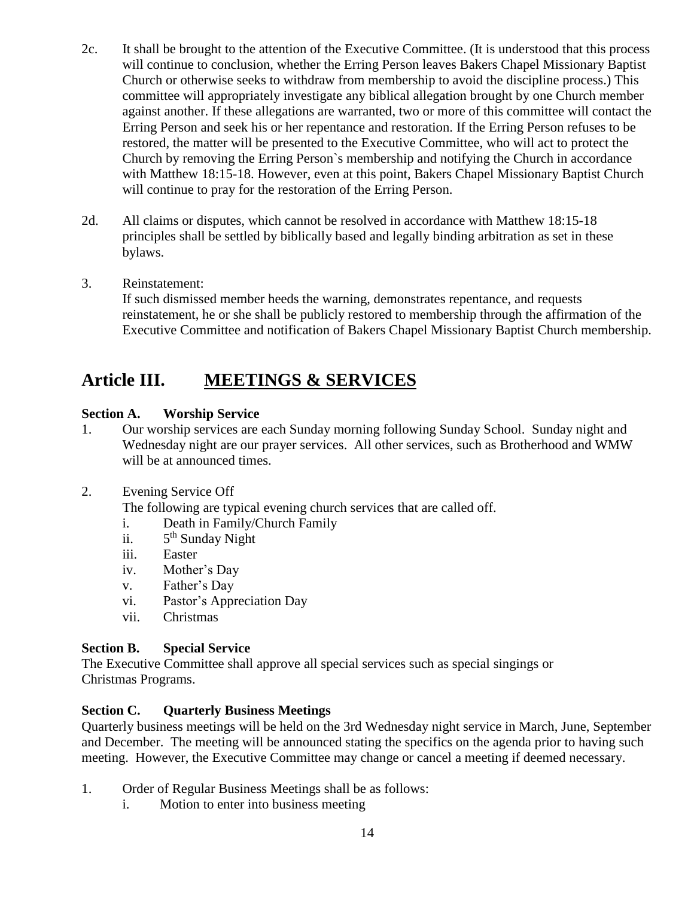- 2c. It shall be brought to the attention of the Executive Committee. (It is understood that this process will continue to conclusion, whether the Erring Person leaves Bakers Chapel Missionary Baptist Church or otherwise seeks to withdraw from membership to avoid the discipline process.) This committee will appropriately investigate any biblical allegation brought by one Church member against another. If these allegations are warranted, two or more of this committee will contact the Erring Person and seek his or her repentance and restoration. If the Erring Person refuses to be restored, the matter will be presented to the Executive Committee, who will act to protect the Church by removing the Erring Person`s membership and notifying the Church in accordance with Matthew 18:15-18. However, even at this point, Bakers Chapel Missionary Baptist Church will continue to pray for the restoration of the Erring Person.
- 2d. All claims or disputes, which cannot be resolved in accordance with Matthew 18:15-18 principles shall be settled by biblically based and legally binding arbitration as set in these bylaws.
- 3. Reinstatement:

If such dismissed member heeds the warning, demonstrates repentance, and requests reinstatement, he or she shall be publicly restored to membership through the affirmation of the Executive Committee and notification of Bakers Chapel Missionary Baptist Church membership.

### **Article III. MEETINGS & SERVICES**

#### **Section A. Worship Service**

- 1. Our worship services are each Sunday morning following Sunday School. Sunday night and Wednesday night are our prayer services. All other services, such as Brotherhood and WMW will be at announced times.
- 2. Evening Service Off

The following are typical evening church services that are called off.

- i. Death in Family/Church Family
- ii.  $5<sup>th</sup>$  Sunday Night
- iii. Easter
- iv. Mother's Day
- v. Father's Day
- vi. Pastor's Appreciation Day
- vii. Christmas

#### **Section B. Special Service**

The Executive Committee shall approve all special services such as special singings or Christmas Programs.

#### **Section C. Quarterly Business Meetings**

Quarterly business meetings will be held on the 3rd Wednesday night service in March, June, September and December. The meeting will be announced stating the specifics on the agenda prior to having such meeting. However, the Executive Committee may change or cancel a meeting if deemed necessary.

- 1. Order of Regular Business Meetings shall be as follows:
	- i. Motion to enter into business meeting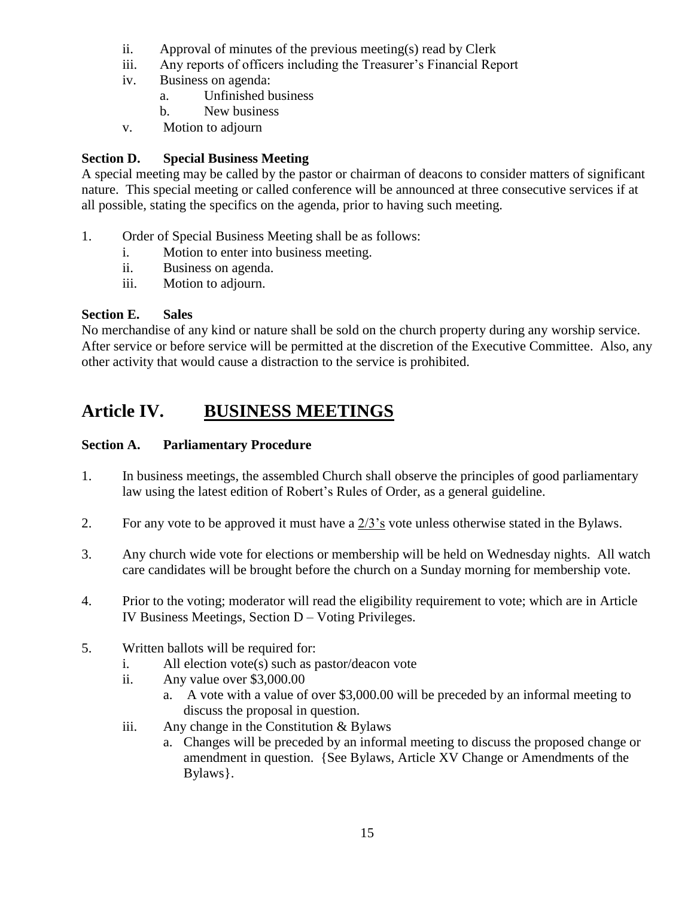- ii. Approval of minutes of the previous meeting(s) read by Clerk
- iii. Any reports of officers including the Treasurer's Financial Report
- iv. Business on agenda:
	- a. Unfinished business
	- b. New business
- v. Motion to adjourn

#### **Section D. Special Business Meeting**

A special meeting may be called by the pastor or chairman of deacons to consider matters of significant nature. This special meeting or called conference will be announced at three consecutive services if at all possible, stating the specifics on the agenda, prior to having such meeting.

- 1. Order of Special Business Meeting shall be as follows:
	- i. Motion to enter into business meeting.
	- ii. Business on agenda.
	- iii. Motion to adjourn.

#### **Section E. Sales**

No merchandise of any kind or nature shall be sold on the church property during any worship service. After service or before service will be permitted at the discretion of the Executive Committee. Also, any other activity that would cause a distraction to the service is prohibited.

# **Article IV. BUSINESS MEETINGS**

#### **Section A. Parliamentary Procedure**

- 1. In business meetings, the assembled Church shall observe the principles of good parliamentary law using the latest edition of Robert's Rules of Order, as a general guideline.
- 2. For any vote to be approved it must have a  $\frac{2}{3}$  vote unless otherwise stated in the Bylaws.
- 3. Any church wide vote for elections or membership will be held on Wednesday nights. All watch care candidates will be brought before the church on a Sunday morning for membership vote.
- 4. Prior to the voting; moderator will read the eligibility requirement to vote; which are in Article IV Business Meetings, Section D – Voting Privileges.
- 5. Written ballots will be required for:
	- i. All election vote(s) such as pastor/deacon vote
	- ii. Any value over \$3,000.00
		- a. A vote with a value of over \$3,000.00 will be preceded by an informal meeting to discuss the proposal in question.
	- iii. Any change in the Constitution & Bylaws
		- a. Changes will be preceded by an informal meeting to discuss the proposed change or amendment in question. {See Bylaws, Article XV Change or Amendments of the Bylaws}.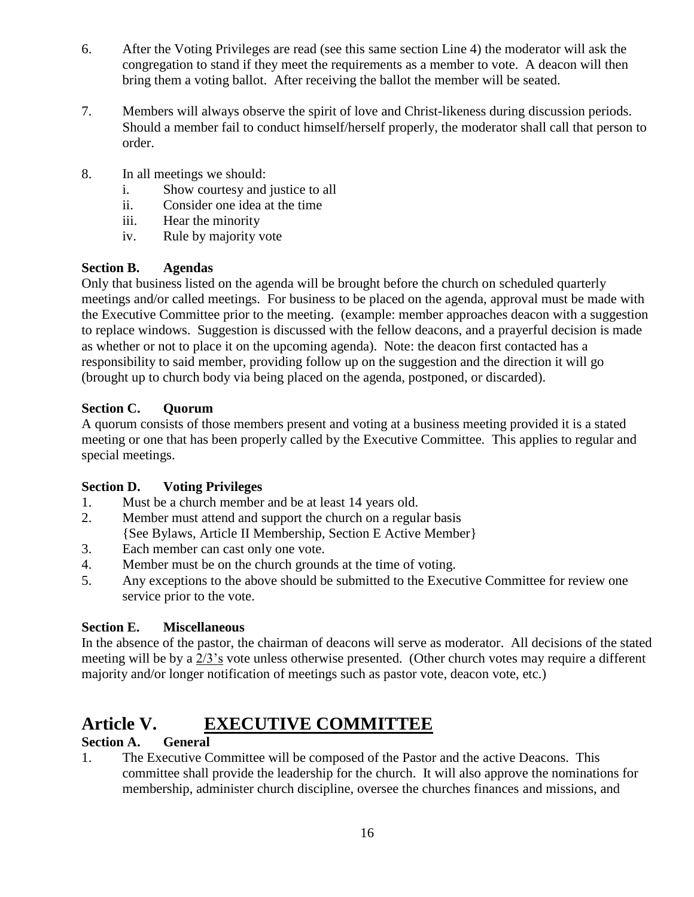- 6. After the Voting Privileges are read (see this same section Line 4) the moderator will ask the congregation to stand if they meet the requirements as a member to vote. A deacon will then bring them a voting ballot. After receiving the ballot the member will be seated.
- 7. Members will always observe the spirit of love and Christ-likeness during discussion periods. Should a member fail to conduct himself/herself properly, the moderator shall call that person to order.
- 8. In all meetings we should:
	- i. Show courtesy and justice to all
	- ii. Consider one idea at the time
	- iii. Hear the minority
	- iv. Rule by majority vote

#### **Section B. Agendas**

Only that business listed on the agenda will be brought before the church on scheduled quarterly meetings and/or called meetings. For business to be placed on the agenda, approval must be made with the Executive Committee prior to the meeting. (example: member approaches deacon with a suggestion to replace windows. Suggestion is discussed with the fellow deacons, and a prayerful decision is made as whether or not to place it on the upcoming agenda). Note: the deacon first contacted has a responsibility to said member, providing follow up on the suggestion and the direction it will go (brought up to church body via being placed on the agenda, postponed, or discarded).

#### **Section C. Quorum**

A quorum consists of those members present and voting at a business meeting provided it is a stated meeting or one that has been properly called by the Executive Committee. This applies to regular and special meetings.

#### **Section D. Voting Privileges**

- 1. Must be a church member and be at least 14 years old.
- 2. Member must attend and support the church on a regular basis {See Bylaws, Article II Membership, Section E Active Member}
- 3. Each member can cast only one vote.
- 4. Member must be on the church grounds at the time of voting.
- 5. Any exceptions to the above should be submitted to the Executive Committee for review one service prior to the vote.

#### **Section E. Miscellaneous**

In the absence of the pastor, the chairman of deacons will serve as moderator. All decisions of the stated meeting will be by a 2/3's vote unless otherwise presented. (Other church votes may require a different majority and/or longer notification of meetings such as pastor vote, deacon vote, etc.)

# **Article V. EXECUTIVE COMMITTEE**

#### **Section A. General**

1. The Executive Committee will be composed of the Pastor and the active Deacons. This committee shall provide the leadership for the church. It will also approve the nominations for membership, administer church discipline, oversee the churches finances and missions, and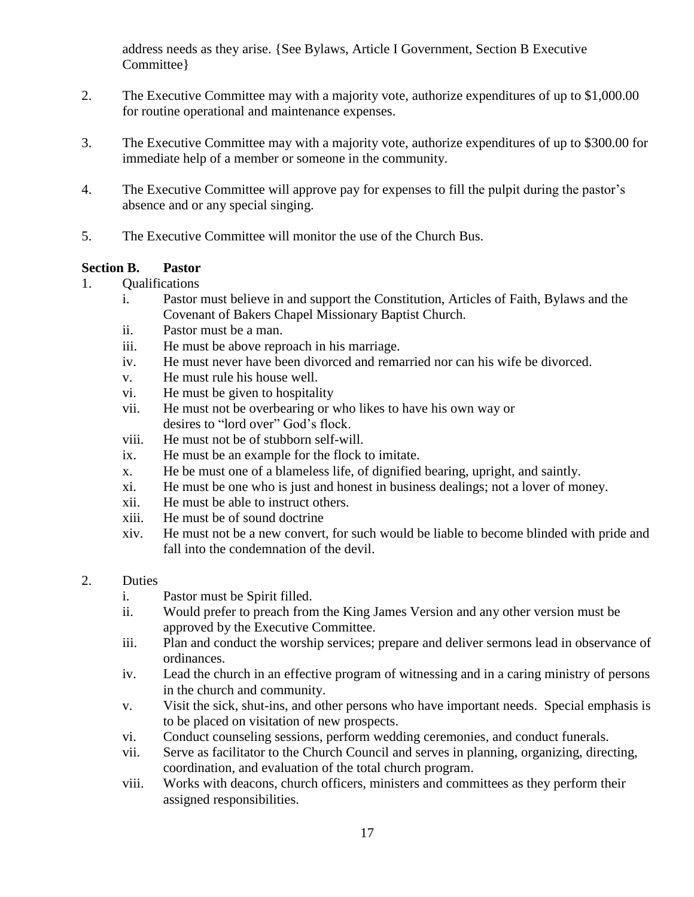address needs as they arise. {See Bylaws, Article I Government, Section B Executive Committee}

- 2. The Executive Committee may with a majority vote, authorize expenditures of up to \$1,000.00 for routine operational and maintenance expenses.
- 3. The Executive Committee may with a majority vote, authorize expenditures of up to \$300.00 for immediate help of a member or someone in the community.
- 4. The Executive Committee will approve pay for expenses to fill the pulpit during the pastor's absence and or any special singing.
- 5. The Executive Committee will monitor the use of the Church Bus.

#### **Section B. Pastor**

- 1. Qualifications
	- i. Pastor must believe in and support the Constitution, Articles of Faith, Bylaws and the Covenant of Bakers Chapel Missionary Baptist Church.
	- ii. Pastor must be a man.
	- iii. He must be above reproach in his marriage.
	- iv. He must never have been divorced and remarried nor can his wife be divorced.
	- v. He must rule his house well.
	- vi. He must be given to hospitality
	- vii. He must not be overbearing or who likes to have his own way or desires to "lord over" God's flock.
	- viii. He must not be of stubborn self-will.
	- ix. He must be an example for the flock to imitate.
	- x. He be must one of a blameless life, of dignified bearing, upright, and saintly.
	- xi. He must be one who is just and honest in business dealings; not a lover of money.
	- xii. He must be able to instruct others.
	- xiii. He must be of sound doctrine
	- xiv. He must not be a new convert, for such would be liable to become blinded with pride and fall into the condemnation of the devil.

#### 2. Duties

- i. Pastor must be Spirit filled.
- ii. Would prefer to preach from the King James Version and any other version must be approved by the Executive Committee.
- iii. Plan and conduct the worship services; prepare and deliver sermons lead in observance of ordinances.
- iv. Lead the church in an effective program of witnessing and in a caring ministry of persons in the church and community.
- v. Visit the sick, shut-ins, and other persons who have important needs. Special emphasis is to be placed on visitation of new prospects.
- vi. Conduct counseling sessions, perform wedding ceremonies, and conduct funerals.
- vii. Serve as facilitator to the Church Council and serves in planning, organizing, directing, coordination, and evaluation of the total church program.
- viii. Works with deacons, church officers, ministers and committees as they perform their assigned responsibilities.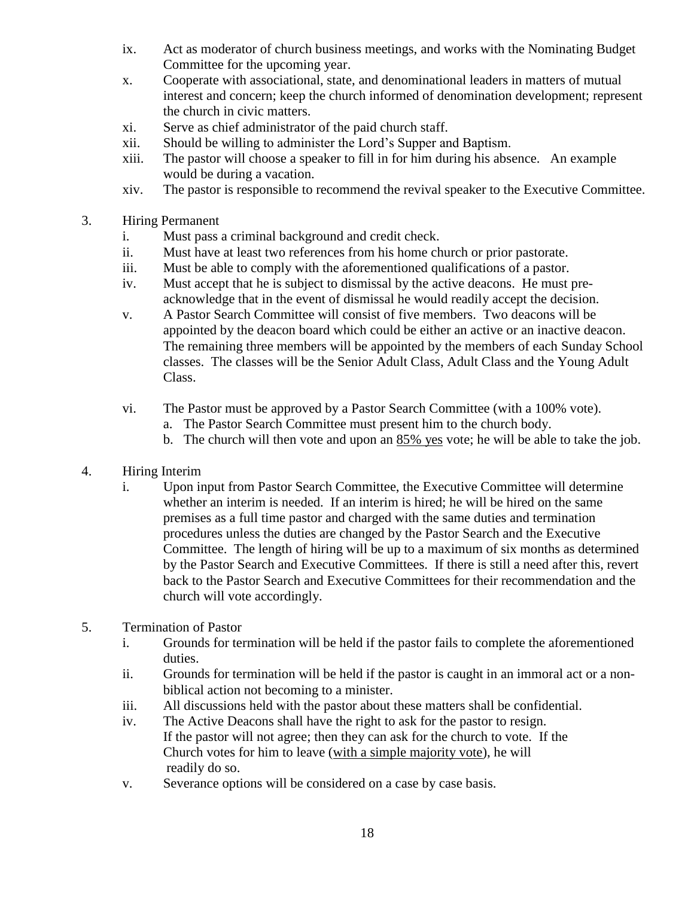- ix. Act as moderator of church business meetings, and works with the Nominating Budget Committee for the upcoming year.
- x. Cooperate with associational, state, and denominational leaders in matters of mutual interest and concern; keep the church informed of denomination development; represent the church in civic matters.
- xi. Serve as chief administrator of the paid church staff.
- xii. Should be willing to administer the Lord's Supper and Baptism.
- xiii. The pastor will choose a speaker to fill in for him during his absence. An example would be during a vacation.
- xiv. The pastor is responsible to recommend the revival speaker to the Executive Committee.
- 3. Hiring Permanent
	- i. Must pass a criminal background and credit check.
	- ii. Must have at least two references from his home church or prior pastorate.
	- iii. Must be able to comply with the aforementioned qualifications of a pastor.
	- iv. Must accept that he is subject to dismissal by the active deacons. He must preacknowledge that in the event of dismissal he would readily accept the decision.
	- v. A Pastor Search Committee will consist of five members. Two deacons will be appointed by the deacon board which could be either an active or an inactive deacon. The remaining three members will be appointed by the members of each Sunday School classes. The classes will be the Senior Adult Class, Adult Class and the Young Adult Class.
	- vi. The Pastor must be approved by a Pastor Search Committee (with a 100% vote).
		- a. The Pastor Search Committee must present him to the church body.
		- b. The church will then vote and upon an 85% yes vote; he will be able to take the job.
- 4. Hiring Interim
	- i. Upon input from Pastor Search Committee, the Executive Committee will determine whether an interim is needed. If an interim is hired; he will be hired on the same premises as a full time pastor and charged with the same duties and termination procedures unless the duties are changed by the Pastor Search and the Executive Committee. The length of hiring will be up to a maximum of six months as determined by the Pastor Search and Executive Committees. If there is still a need after this, revert back to the Pastor Search and Executive Committees for their recommendation and the church will vote accordingly.
- 5. Termination of Pastor
	- i. Grounds for termination will be held if the pastor fails to complete the aforementioned duties.
	- ii. Grounds for termination will be held if the pastor is caught in an immoral act or a nonbiblical action not becoming to a minister.
	- iii. All discussions held with the pastor about these matters shall be confidential.
	- iv. The Active Deacons shall have the right to ask for the pastor to resign. If the pastor will not agree; then they can ask for the church to vote. If the Church votes for him to leave (with a simple majority vote), he will readily do so.
	- v. Severance options will be considered on a case by case basis.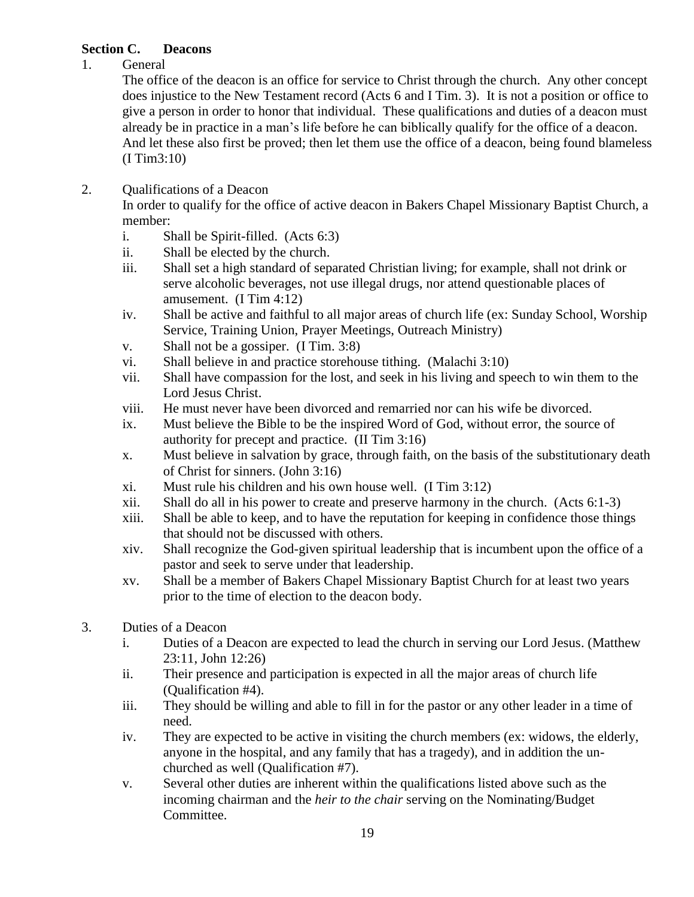#### **Section C. Deacons**

#### 1. General

The office of the deacon is an office for service to Christ through the church. Any other concept does injustice to the New Testament record (Acts 6 and I Tim. 3). It is not a position or office to give a person in order to honor that individual. These qualifications and duties of a deacon must already be in practice in a man's life before he can biblically qualify for the office of a deacon. And let these also first be proved; then let them use the office of a deacon, being found blameless (I Tim3:10)

2. Qualifications of a Deacon

In order to qualify for the office of active deacon in Bakers Chapel Missionary Baptist Church, a member:

- i. Shall be Spirit-filled. (Acts 6:3)
- ii. Shall be elected by the church.
- iii. Shall set a high standard of separated Christian living; for example, shall not drink or serve alcoholic beverages, not use illegal drugs, nor attend questionable places of amusement. (I Tim 4:12)
- iv. Shall be active and faithful to all major areas of church life (ex: Sunday School, Worship Service, Training Union, Prayer Meetings, Outreach Ministry)
- v. Shall not be a gossiper. (I Tim. 3:8)
- vi. Shall believe in and practice storehouse tithing. (Malachi 3:10)
- vii. Shall have compassion for the lost, and seek in his living and speech to win them to the Lord Jesus Christ.
- viii. He must never have been divorced and remarried nor can his wife be divorced.
- ix. Must believe the Bible to be the inspired Word of God, without error, the source of authority for precept and practice. (II Tim 3:16)
- x. Must believe in salvation by grace, through faith, on the basis of the substitutionary death of Christ for sinners. (John 3:16)
- xi. Must rule his children and his own house well. (I Tim 3:12)
- xii. Shall do all in his power to create and preserve harmony in the church. (Acts 6:1-3)
- xiii. Shall be able to keep, and to have the reputation for keeping in confidence those things that should not be discussed with others.
- xiv. Shall recognize the God-given spiritual leadership that is incumbent upon the office of a pastor and seek to serve under that leadership.
- xv. Shall be a member of Bakers Chapel Missionary Baptist Church for at least two years prior to the time of election to the deacon body.
- 3. Duties of a Deacon
	- i. Duties of a Deacon are expected to lead the church in serving our Lord Jesus. (Matthew 23:11, John 12:26)
	- ii. Their presence and participation is expected in all the major areas of church life (Qualification #4).
	- iii. They should be willing and able to fill in for the pastor or any other leader in a time of need.
	- iv. They are expected to be active in visiting the church members (ex: widows, the elderly, anyone in the hospital, and any family that has a tragedy), and in addition the unchurched as well (Qualification #7).
	- v. Several other duties are inherent within the qualifications listed above such as the incoming chairman and the *heir to the chair* serving on the Nominating/Budget Committee.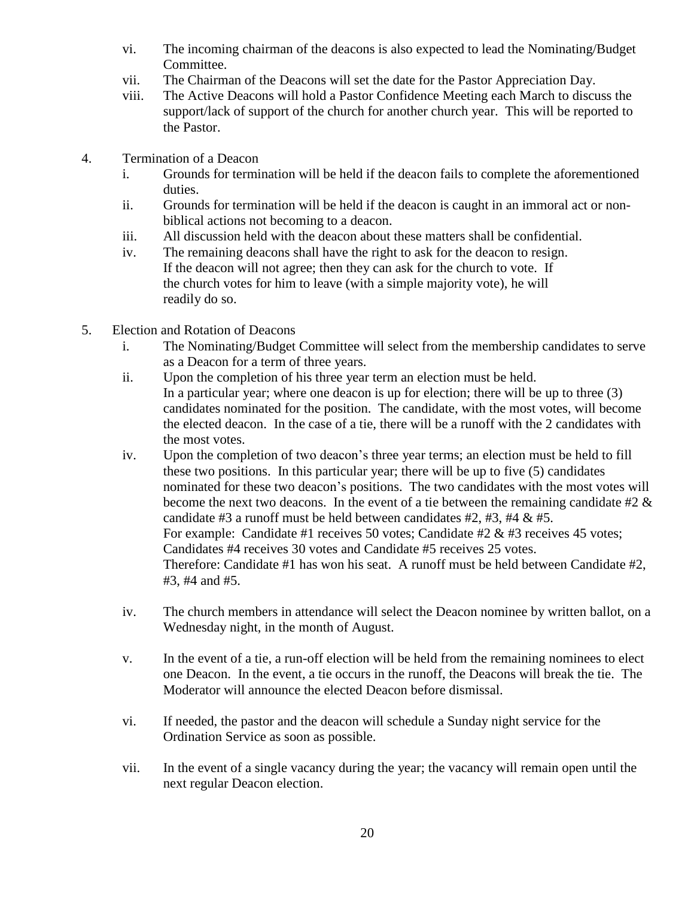- vi. The incoming chairman of the deacons is also expected to lead the Nominating/Budget Committee.
- vii. The Chairman of the Deacons will set the date for the Pastor Appreciation Day.
- viii. The Active Deacons will hold a Pastor Confidence Meeting each March to discuss the support/lack of support of the church for another church year. This will be reported to the Pastor.
- 4. Termination of a Deacon
	- i. Grounds for termination will be held if the deacon fails to complete the aforementioned duties.
	- ii. Grounds for termination will be held if the deacon is caught in an immoral act or nonbiblical actions not becoming to a deacon.
	- iii. All discussion held with the deacon about these matters shall be confidential.
	- iv. The remaining deacons shall have the right to ask for the deacon to resign. If the deacon will not agree; then they can ask for the church to vote. If the church votes for him to leave (with a simple majority vote), he will readily do so.
- 5. Election and Rotation of Deacons
	- i. The Nominating/Budget Committee will select from the membership candidates to serve as a Deacon for a term of three years.
	- ii. Upon the completion of his three year term an election must be held. In a particular year; where one deacon is up for election; there will be up to three (3) candidates nominated for the position. The candidate, with the most votes, will become the elected deacon. In the case of a tie, there will be a runoff with the 2 candidates with the most votes.
	- iv. Upon the completion of two deacon's three year terms; an election must be held to fill these two positions. In this particular year; there will be up to five (5) candidates nominated for these two deacon's positions. The two candidates with the most votes will become the next two deacons. In the event of a tie between the remaining candidate #2 & candidate #3 a runoff must be held between candidates #2, #3, #4 & #5. For example: Candidate #1 receives 50 votes; Candidate #2 & #3 receives 45 votes; Candidates #4 receives 30 votes and Candidate #5 receives 25 votes. Therefore: Candidate #1 has won his seat. A runoff must be held between Candidate #2, #3, #4 and #5.
	- iv. The church members in attendance will select the Deacon nominee by written ballot, on a Wednesday night, in the month of August.
	- v. In the event of a tie, a run-off election will be held from the remaining nominees to elect one Deacon. In the event, a tie occurs in the runoff, the Deacons will break the tie. The Moderator will announce the elected Deacon before dismissal.
	- vi. If needed, the pastor and the deacon will schedule a Sunday night service for the Ordination Service as soon as possible.
	- vii. In the event of a single vacancy during the year; the vacancy will remain open until the next regular Deacon election.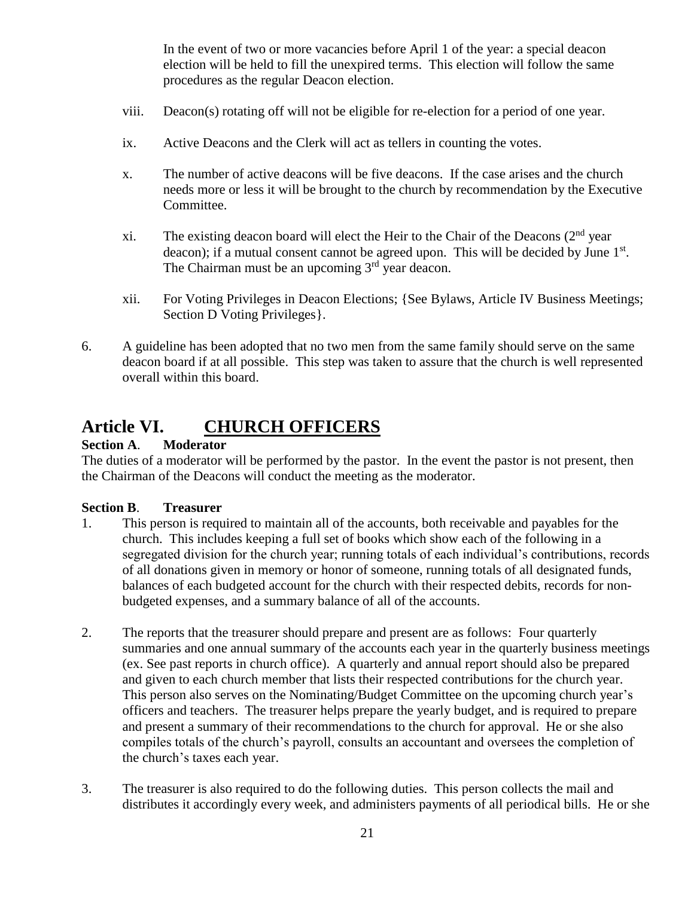In the event of two or more vacancies before April 1 of the year: a special deacon election will be held to fill the unexpired terms. This election will follow the same procedures as the regular Deacon election.

- viii. Deacon(s) rotating off will not be eligible for re-election for a period of one year.
- ix. Active Deacons and the Clerk will act as tellers in counting the votes.
- x. The number of active deacons will be five deacons. If the case arises and the church needs more or less it will be brought to the church by recommendation by the Executive Committee.
- xi. The existing deacon board will elect the Heir to the Chair of the Deacons  $(2<sup>nd</sup>$  year deacon); if a mutual consent cannot be agreed upon. This will be decided by June  $1<sup>st</sup>$ . The Chairman must be an upcoming  $3<sup>rd</sup>$  year deacon.
- xii. For Voting Privileges in Deacon Elections; {See Bylaws, Article IV Business Meetings; Section D Voting Privileges.
- 6. A guideline has been adopted that no two men from the same family should serve on the same deacon board if at all possible. This step was taken to assure that the church is well represented overall within this board.

### **Article VI. CHURCH OFFICERS**

#### **Section A**. **Moderator**

The duties of a moderator will be performed by the pastor. In the event the pastor is not present, then the Chairman of the Deacons will conduct the meeting as the moderator.

#### **Section B**. **Treasurer**

- 1. This person is required to maintain all of the accounts, both receivable and payables for the church. This includes keeping a full set of books which show each of the following in a segregated division for the church year; running totals of each individual's contributions, records of all donations given in memory or honor of someone, running totals of all designated funds, balances of each budgeted account for the church with their respected debits, records for nonbudgeted expenses, and a summary balance of all of the accounts.
- 2. The reports that the treasurer should prepare and present are as follows: Four quarterly summaries and one annual summary of the accounts each year in the quarterly business meetings (ex. See past reports in church office). A quarterly and annual report should also be prepared and given to each church member that lists their respected contributions for the church year. This person also serves on the Nominating/Budget Committee on the upcoming church year's officers and teachers. The treasurer helps prepare the yearly budget, and is required to prepare and present a summary of their recommendations to the church for approval. He or she also compiles totals of the church's payroll, consults an accountant and oversees the completion of the church's taxes each year.
- 3. The treasurer is also required to do the following duties. This person collects the mail and distributes it accordingly every week, and administers payments of all periodical bills. He or she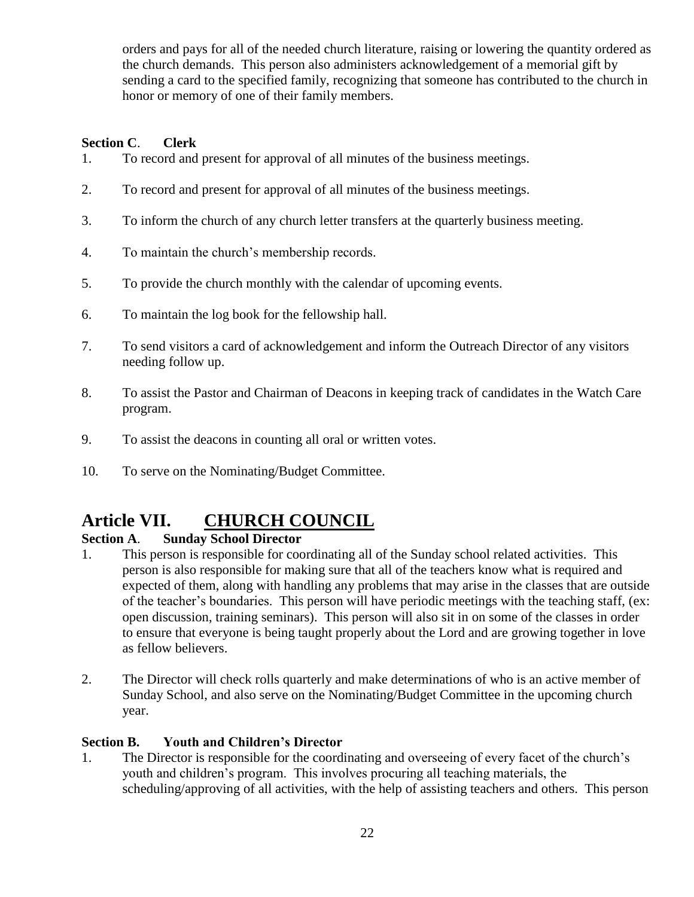orders and pays for all of the needed church literature, raising or lowering the quantity ordered as the church demands. This person also administers acknowledgement of a memorial gift by sending a card to the specified family, recognizing that someone has contributed to the church in honor or memory of one of their family members.

#### **Section C**. **Clerk**

- 1. To record and present for approval of all minutes of the business meetings.
- 2. To record and present for approval of all minutes of the business meetings.
- 3. To inform the church of any church letter transfers at the quarterly business meeting.
- 4. To maintain the church's membership records.
- 5. To provide the church monthly with the calendar of upcoming events.
- 6. To maintain the log book for the fellowship hall.
- 7. To send visitors a card of acknowledgement and inform the Outreach Director of any visitors needing follow up.
- 8. To assist the Pastor and Chairman of Deacons in keeping track of candidates in the Watch Care program.
- 9. To assist the deacons in counting all oral or written votes.
- 10. To serve on the Nominating/Budget Committee.

# **Article VII. CHURCH COUNCIL**

#### **Section A**. **Sunday School Director**

- 1. This person is responsible for coordinating all of the Sunday school related activities. This person is also responsible for making sure that all of the teachers know what is required and expected of them, along with handling any problems that may arise in the classes that are outside of the teacher's boundaries. This person will have periodic meetings with the teaching staff, (ex: open discussion, training seminars). This person will also sit in on some of the classes in order to ensure that everyone is being taught properly about the Lord and are growing together in love as fellow believers.
- 2. The Director will check rolls quarterly and make determinations of who is an active member of Sunday School, and also serve on the Nominating/Budget Committee in the upcoming church year.

#### **Section B. Youth and Children's Director**

1. The Director is responsible for the coordinating and overseeing of every facet of the church's youth and children's program. This involves procuring all teaching materials, the scheduling/approving of all activities, with the help of assisting teachers and others. This person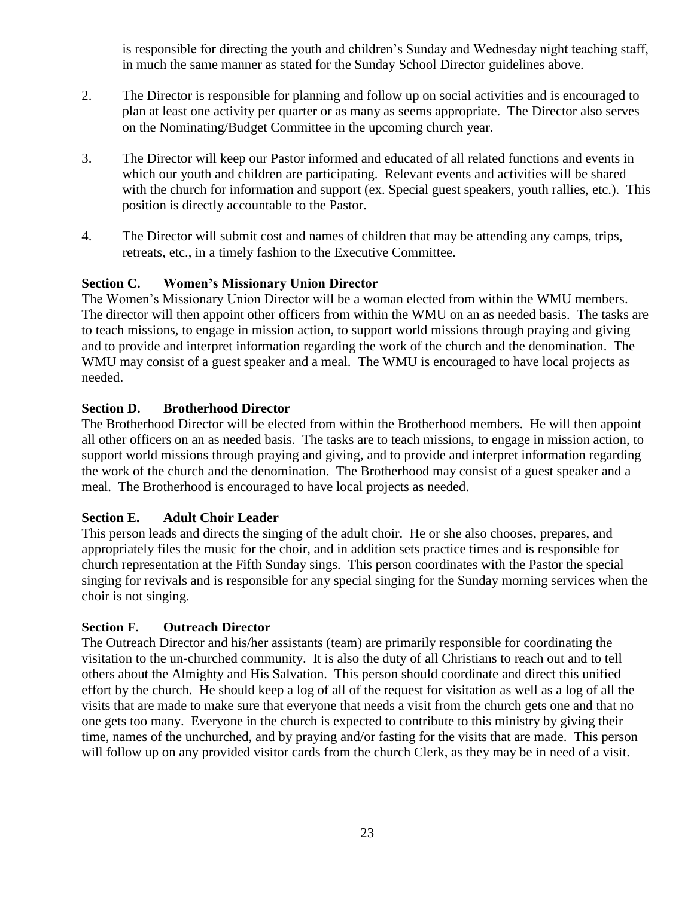is responsible for directing the youth and children's Sunday and Wednesday night teaching staff, in much the same manner as stated for the Sunday School Director guidelines above.

- 2. The Director is responsible for planning and follow up on social activities and is encouraged to plan at least one activity per quarter or as many as seems appropriate. The Director also serves on the Nominating/Budget Committee in the upcoming church year.
- 3. The Director will keep our Pastor informed and educated of all related functions and events in which our youth and children are participating. Relevant events and activities will be shared with the church for information and support (ex. Special guest speakers, youth rallies, etc.). This position is directly accountable to the Pastor.
- 4. The Director will submit cost and names of children that may be attending any camps, trips, retreats, etc., in a timely fashion to the Executive Committee.

#### **Section C. Women's Missionary Union Director**

The Women's Missionary Union Director will be a woman elected from within the WMU members. The director will then appoint other officers from within the WMU on an as needed basis. The tasks are to teach missions, to engage in mission action, to support world missions through praying and giving and to provide and interpret information regarding the work of the church and the denomination. The WMU may consist of a guest speaker and a meal. The WMU is encouraged to have local projects as needed.

#### **Section D. Brotherhood Director**

The Brotherhood Director will be elected from within the Brotherhood members. He will then appoint all other officers on an as needed basis. The tasks are to teach missions, to engage in mission action, to support world missions through praying and giving, and to provide and interpret information regarding the work of the church and the denomination. The Brotherhood may consist of a guest speaker and a meal. The Brotherhood is encouraged to have local projects as needed.

#### **Section E. Adult Choir Leader**

This person leads and directs the singing of the adult choir. He or she also chooses, prepares, and appropriately files the music for the choir, and in addition sets practice times and is responsible for church representation at the Fifth Sunday sings. This person coordinates with the Pastor the special singing for revivals and is responsible for any special singing for the Sunday morning services when the choir is not singing.

#### **Section F. Outreach Director**

The Outreach Director and his/her assistants (team) are primarily responsible for coordinating the visitation to the un-churched community. It is also the duty of all Christians to reach out and to tell others about the Almighty and His Salvation. This person should coordinate and direct this unified effort by the church. He should keep a log of all of the request for visitation as well as a log of all the visits that are made to make sure that everyone that needs a visit from the church gets one and that no one gets too many. Everyone in the church is expected to contribute to this ministry by giving their time, names of the unchurched, and by praying and/or fasting for the visits that are made. This person will follow up on any provided visitor cards from the church Clerk, as they may be in need of a visit.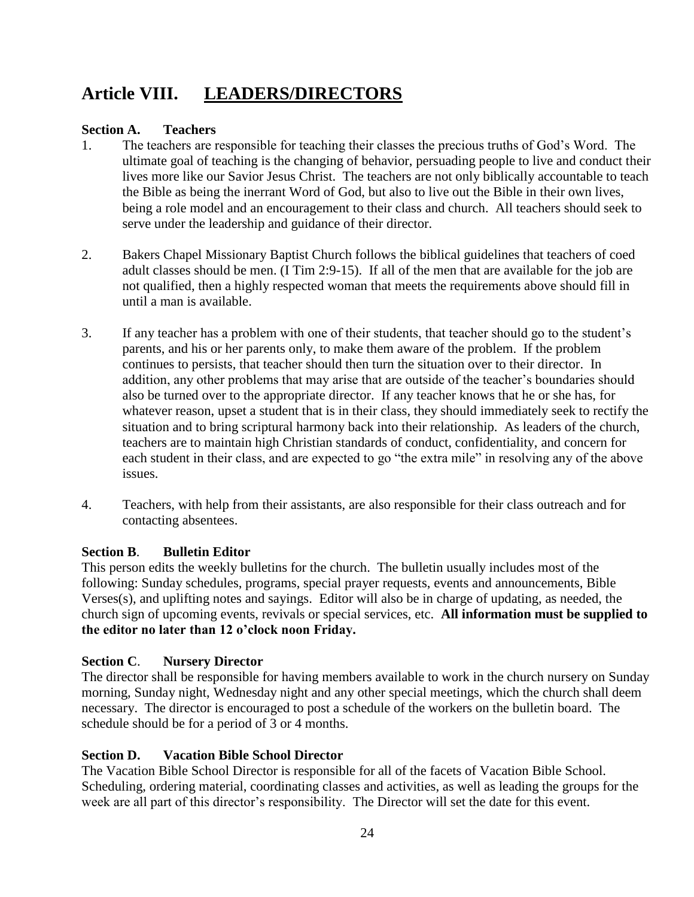# **Article VIII. LEADERS/DIRECTORS**

#### **Section A. Teachers**

- 1. The teachers are responsible for teaching their classes the precious truths of God's Word. The ultimate goal of teaching is the changing of behavior, persuading people to live and conduct their lives more like our Savior Jesus Christ. The teachers are not only biblically accountable to teach the Bible as being the inerrant Word of God, but also to live out the Bible in their own lives, being a role model and an encouragement to their class and church. All teachers should seek to serve under the leadership and guidance of their director.
- 2. Bakers Chapel Missionary Baptist Church follows the biblical guidelines that teachers of coed adult classes should be men. (I Tim 2:9-15). If all of the men that are available for the job are not qualified, then a highly respected woman that meets the requirements above should fill in until a man is available.
- 3. If any teacher has a problem with one of their students, that teacher should go to the student's parents, and his or her parents only, to make them aware of the problem. If the problem continues to persists, that teacher should then turn the situation over to their director. In addition, any other problems that may arise that are outside of the teacher's boundaries should also be turned over to the appropriate director. If any teacher knows that he or she has, for whatever reason, upset a student that is in their class, they should immediately seek to rectify the situation and to bring scriptural harmony back into their relationship. As leaders of the church, teachers are to maintain high Christian standards of conduct, confidentiality, and concern for each student in their class, and are expected to go "the extra mile" in resolving any of the above issues.
- 4. Teachers, with help from their assistants, are also responsible for their class outreach and for contacting absentees.

#### **Section B**. **Bulletin Editor**

This person edits the weekly bulletins for the church. The bulletin usually includes most of the following: Sunday schedules, programs, special prayer requests, events and announcements, Bible Verses(s), and uplifting notes and sayings. Editor will also be in charge of updating, as needed, the church sign of upcoming events, revivals or special services, etc. **All information must be supplied to the editor no later than 12 o'clock noon Friday.**

#### **Section C**. **Nursery Director**

The director shall be responsible for having members available to work in the church nursery on Sunday morning, Sunday night, Wednesday night and any other special meetings, which the church shall deem necessary. The director is encouraged to post a schedule of the workers on the bulletin board. The schedule should be for a period of 3 or 4 months.

#### **Section D. Vacation Bible School Director**

The Vacation Bible School Director is responsible for all of the facets of Vacation Bible School. Scheduling, ordering material, coordinating classes and activities, as well as leading the groups for the week are all part of this director's responsibility. The Director will set the date for this event.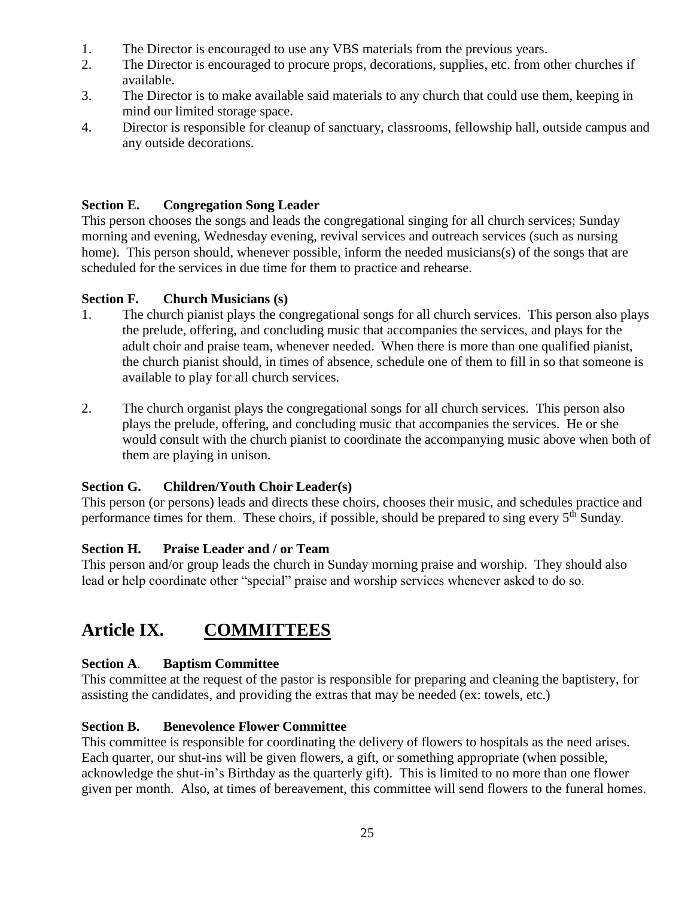- 1. The Director is encouraged to use any VBS materials from the previous years.
- 2. The Director is encouraged to procure props, decorations, supplies, etc. from other churches if available.
- 3. The Director is to make available said materials to any church that could use them, keeping in mind our limited storage space.
- 4. Director is responsible for cleanup of sanctuary, classrooms, fellowship hall, outside campus and any outside decorations.

### **Section E. Congregation Song Leader**

This person chooses the songs and leads the congregational singing for all church services; Sunday morning and evening, Wednesday evening, revival services and outreach services (such as nursing home). This person should, whenever possible, inform the needed musicians(s) of the songs that are scheduled for the services in due time for them to practice and rehearse.

#### **Section F. Church Musicians (s)**

- 1. The church pianist plays the congregational songs for all church services. This person also plays the prelude, offering, and concluding music that accompanies the services, and plays for the adult choir and praise team, whenever needed. When there is more than one qualified pianist, the church pianist should, in times of absence, schedule one of them to fill in so that someone is available to play for all church services.
- 2. The church organist plays the congregational songs for all church services. This person also plays the prelude, offering, and concluding music that accompanies the services. He or she would consult with the church pianist to coordinate the accompanying music above when both of them are playing in unison.

#### **Section G. Children/Youth Choir Leader(s)**

This person (or persons) leads and directs these choirs, chooses their music, and schedules practice and performance times for them. These choirs, if possible, should be prepared to sing every 5<sup>th</sup> Sunday.

#### **Section H. Praise Leader and / or Team**

This person and/or group leads the church in Sunday morning praise and worship. They should also lead or help coordinate other "special" praise and worship services whenever asked to do so.

# **Article IX. COMMITTEES**

#### **Section A**. **Baptism Committee**

This committee at the request of the pastor is responsible for preparing and cleaning the baptistery, for assisting the candidates, and providing the extras that may be needed (ex: towels, etc.)

#### **Section B. Benevolence Flower Committee**

This committee is responsible for coordinating the delivery of flowers to hospitals as the need arises. Each quarter, our shut-ins will be given flowers, a gift, or something appropriate (when possible, acknowledge the shut-in's Birthday as the quarterly gift). This is limited to no more than one flower given per month. Also, at times of bereavement, this committee will send flowers to the funeral homes.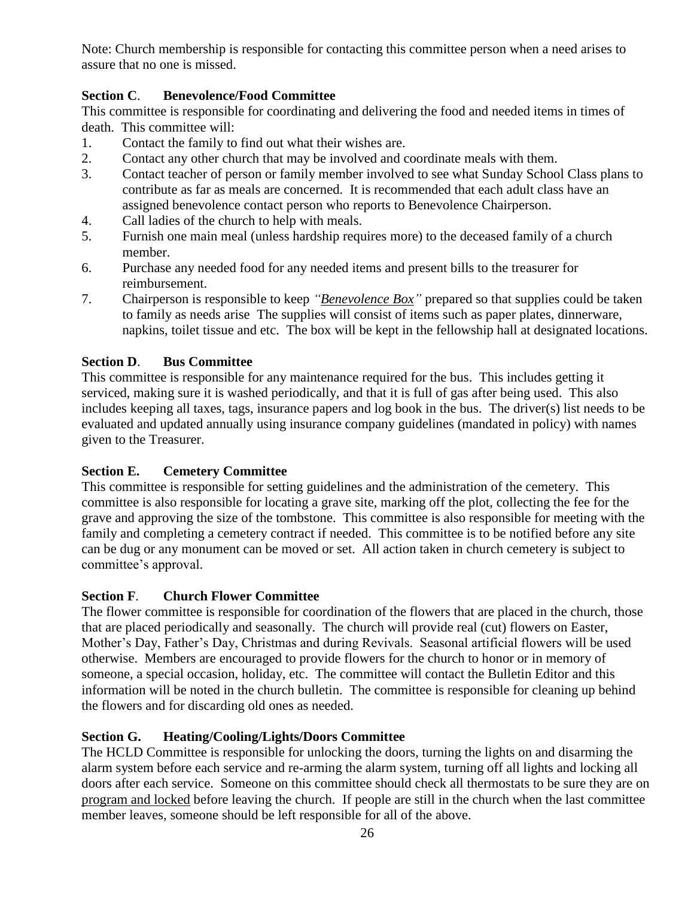Note: Church membership is responsible for contacting this committee person when a need arises to assure that no one is missed.

#### **Section C**. **Benevolence/Food Committee**

This committee is responsible for coordinating and delivering the food and needed items in times of death. This committee will:

- 1. Contact the family to find out what their wishes are.
- 2. Contact any other church that may be involved and coordinate meals with them.
- 3. Contact teacher of person or family member involved to see what Sunday School Class plans to contribute as far as meals are concerned. It is recommended that each adult class have an assigned benevolence contact person who reports to Benevolence Chairperson.
- 4. Call ladies of the church to help with meals.
- 5. Furnish one main meal (unless hardship requires more) to the deceased family of a church member.
- 6. Purchase any needed food for any needed items and present bills to the treasurer for reimbursement.
- 7. Chairperson is responsible to keep *"Benevolence Box"* prepared so that supplies could be taken to family as needs arise The supplies will consist of items such as paper plates, dinnerware, napkins, toilet tissue and etc. The box will be kept in the fellowship hall at designated locations.

#### **Section D**. **Bus Committee**

This committee is responsible for any maintenance required for the bus. This includes getting it serviced, making sure it is washed periodically, and that it is full of gas after being used. This also includes keeping all taxes, tags, insurance papers and log book in the bus. The driver(s) list needs to be evaluated and updated annually using insurance company guidelines (mandated in policy) with names given to the Treasurer.

#### **Section E. Cemetery Committee**

This committee is responsible for setting guidelines and the administration of the cemetery. This committee is also responsible for locating a grave site, marking off the plot, collecting the fee for the grave and approving the size of the tombstone. This committee is also responsible for meeting with the family and completing a cemetery contract if needed. This committee is to be notified before any site can be dug or any monument can be moved or set. All action taken in church cemetery is subject to committee's approval.

#### **Section F**. **Church Flower Committee**

The flower committee is responsible for coordination of the flowers that are placed in the church, those that are placed periodically and seasonally. The church will provide real (cut) flowers on Easter, Mother's Day, Father's Day, Christmas and during Revivals. Seasonal artificial flowers will be used otherwise. Members are encouraged to provide flowers for the church to honor or in memory of someone, a special occasion, holiday, etc. The committee will contact the Bulletin Editor and this information will be noted in the church bulletin. The committee is responsible for cleaning up behind the flowers and for discarding old ones as needed.

#### **Section G. Heating/Cooling/Lights/Doors Committee**

The HCLD Committee is responsible for unlocking the doors, turning the lights on and disarming the alarm system before each service and re-arming the alarm system, turning off all lights and locking all doors after each service. Someone on this committee should check all thermostats to be sure they are on program and locked before leaving the church. If people are still in the church when the last committee member leaves, someone should be left responsible for all of the above.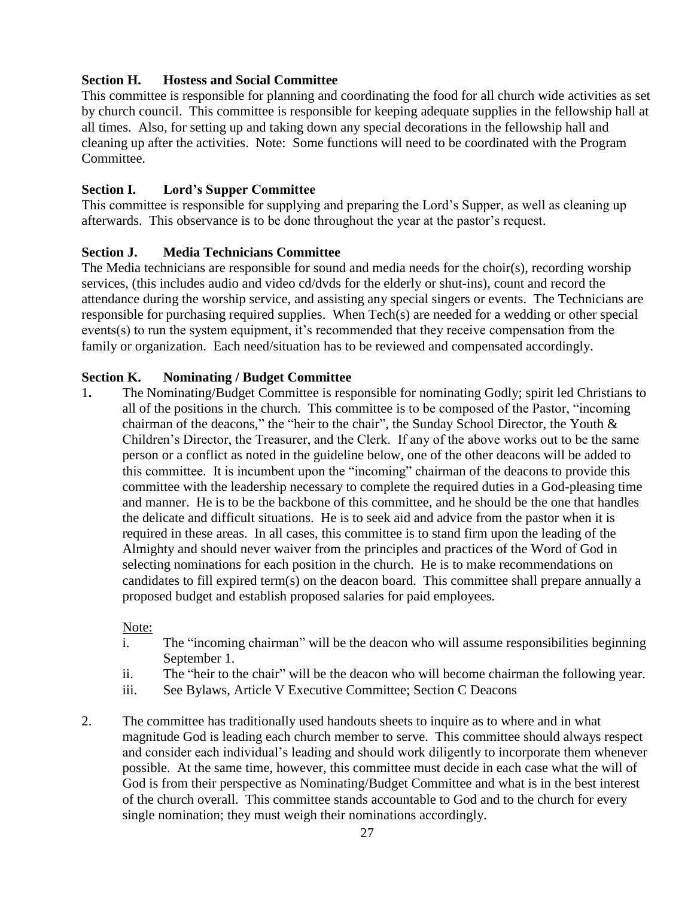#### **Section H. Hostess and Social Committee**

This committee is responsible for planning and coordinating the food for all church wide activities as set by church council. This committee is responsible for keeping adequate supplies in the fellowship hall at all times. Also, for setting up and taking down any special decorations in the fellowship hall and cleaning up after the activities. Note: Some functions will need to be coordinated with the Program Committee.

#### **Section I. Lord's Supper Committee**

This committee is responsible for supplying and preparing the Lord's Supper, as well as cleaning up afterwards. This observance is to be done throughout the year at the pastor's request.

#### **Section J. Media Technicians Committee**

The Media technicians are responsible for sound and media needs for the choir(s), recording worship services, (this includes audio and video cd/dvds for the elderly or shut-ins), count and record the attendance during the worship service, and assisting any special singers or events. The Technicians are responsible for purchasing required supplies. When Tech(s) are needed for a wedding or other special events(s) to run the system equipment, it's recommended that they receive compensation from the family or organization. Each need/situation has to be reviewed and compensated accordingly.

#### **Section K. Nominating / Budget Committee**

1**.** The Nominating/Budget Committee is responsible for nominating Godly; spirit led Christians to all of the positions in the church. This committee is to be composed of the Pastor, "incoming chairman of the deacons," the "heir to the chair", the Sunday School Director, the Youth & Children's Director, the Treasurer, and the Clerk. If any of the above works out to be the same person or a conflict as noted in the guideline below, one of the other deacons will be added to this committee. It is incumbent upon the "incoming" chairman of the deacons to provide this committee with the leadership necessary to complete the required duties in a God-pleasing time and manner. He is to be the backbone of this committee, and he should be the one that handles the delicate and difficult situations. He is to seek aid and advice from the pastor when it is required in these areas. In all cases, this committee is to stand firm upon the leading of the Almighty and should never waiver from the principles and practices of the Word of God in selecting nominations for each position in the church. He is to make recommendations on candidates to fill expired term(s) on the deacon board. This committee shall prepare annually a proposed budget and establish proposed salaries for paid employees.

#### Note:

- i. The "incoming chairman" will be the deacon who will assume responsibilities beginning September 1.
- ii. The "heir to the chair" will be the deacon who will become chairman the following year.
- iii. See Bylaws, Article V Executive Committee; Section C Deacons
- 2. The committee has traditionally used handouts sheets to inquire as to where and in what magnitude God is leading each church member to serve. This committee should always respect and consider each individual's leading and should work diligently to incorporate them whenever possible. At the same time, however, this committee must decide in each case what the will of God is from their perspective as Nominating/Budget Committee and what is in the best interest of the church overall. This committee stands accountable to God and to the church for every single nomination; they must weigh their nominations accordingly.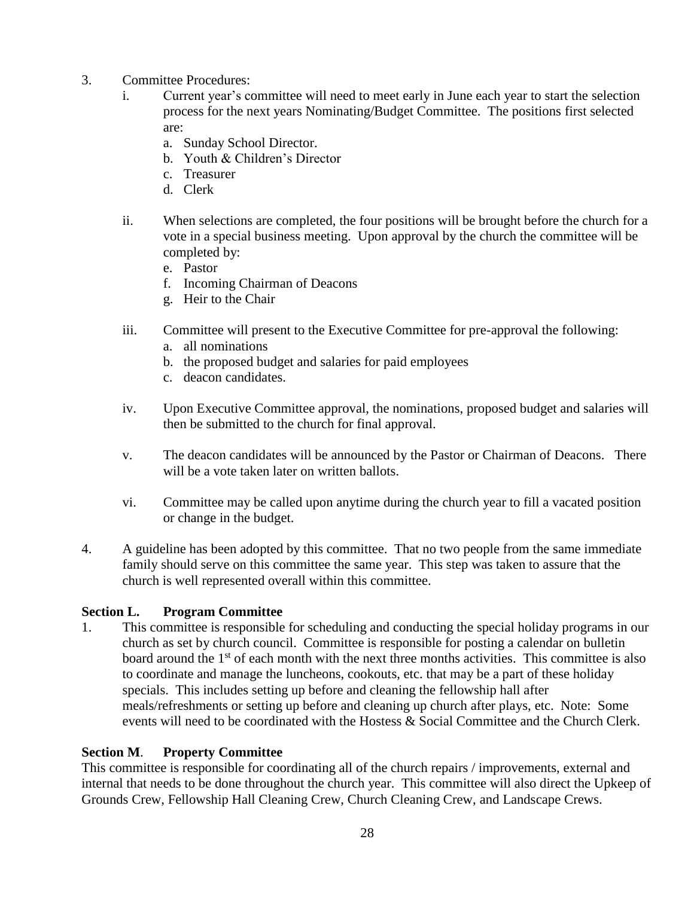- 3. Committee Procedures:
	- i. Current year's committee will need to meet early in June each year to start the selection process for the next years Nominating/Budget Committee. The positions first selected are:
		- a. Sunday School Director.
		- b. Youth & Children's Director
		- c. Treasurer
		- d. Clerk
	- ii. When selections are completed, the four positions will be brought before the church for a vote in a special business meeting. Upon approval by the church the committee will be completed by:
		- e. Pastor
		- f. Incoming Chairman of Deacons
		- g. Heir to the Chair
	- iii. Committee will present to the Executive Committee for pre-approval the following:
		- a. all nominations
		- b. the proposed budget and salaries for paid employees
		- c. deacon candidates.
	- iv. Upon Executive Committee approval, the nominations, proposed budget and salaries will then be submitted to the church for final approval.
	- v. The deacon candidates will be announced by the Pastor or Chairman of Deacons. There will be a vote taken later on written ballots.
	- vi. Committee may be called upon anytime during the church year to fill a vacated position or change in the budget.
- 4. A guideline has been adopted by this committee. That no two people from the same immediate family should serve on this committee the same year. This step was taken to assure that the church is well represented overall within this committee.

#### **Section L. Program Committee**

1. This committee is responsible for scheduling and conducting the special holiday programs in our church as set by church council. Committee is responsible for posting a calendar on bulletin board around the  $1<sup>st</sup>$  of each month with the next three months activities. This committee is also to coordinate and manage the luncheons, cookouts, etc. that may be a part of these holiday specials. This includes setting up before and cleaning the fellowship hall after meals/refreshments or setting up before and cleaning up church after plays, etc. Note: Some events will need to be coordinated with the Hostess & Social Committee and the Church Clerk.

#### **Section M**. **Property Committee**

This committee is responsible for coordinating all of the church repairs / improvements, external and internal that needs to be done throughout the church year. This committee will also direct the Upkeep of Grounds Crew, Fellowship Hall Cleaning Crew, Church Cleaning Crew, and Landscape Crews.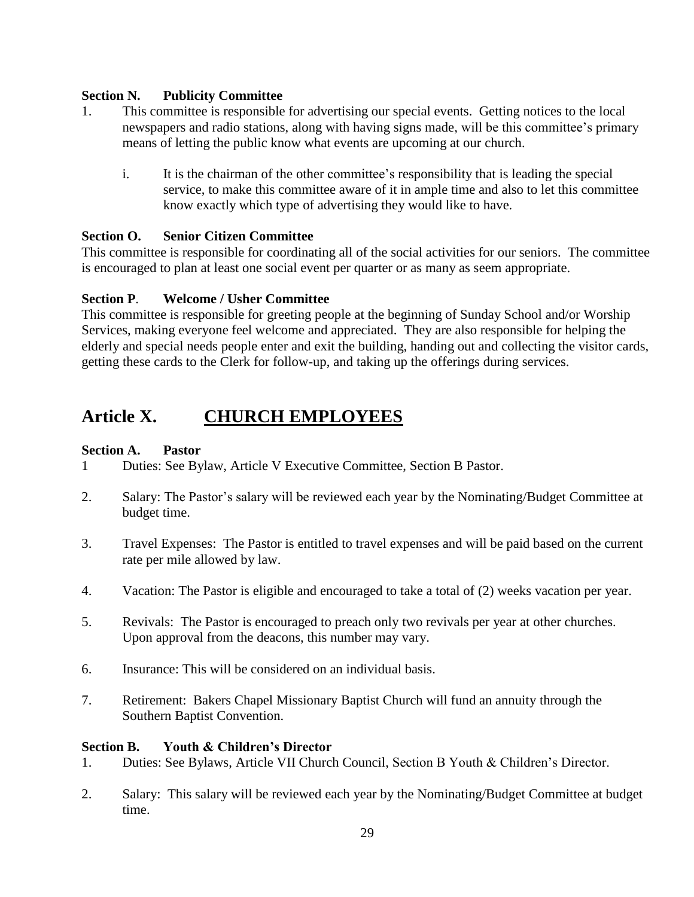#### **Section N. Publicity Committee**

- 1. This committee is responsible for advertising our special events. Getting notices to the local newspapers and radio stations, along with having signs made, will be this committee's primary means of letting the public know what events are upcoming at our church.
	- i. It is the chairman of the other committee's responsibility that is leading the special service, to make this committee aware of it in ample time and also to let this committee know exactly which type of advertising they would like to have.

#### **Section O. Senior Citizen Committee**

This committee is responsible for coordinating all of the social activities for our seniors. The committee is encouraged to plan at least one social event per quarter or as many as seem appropriate.

#### **Section P**. **Welcome / Usher Committee**

This committee is responsible for greeting people at the beginning of Sunday School and/or Worship Services, making everyone feel welcome and appreciated. They are also responsible for helping the elderly and special needs people enter and exit the building, handing out and collecting the visitor cards, getting these cards to the Clerk for follow-up, and taking up the offerings during services.

### **Article X. CHURCH EMPLOYEES**

#### **Section A. Pastor**

- 1 Duties: See Bylaw, Article V Executive Committee, Section B Pastor.
- 2. Salary: The Pastor's salary will be reviewed each year by the Nominating/Budget Committee at budget time.
- 3. Travel Expenses: The Pastor is entitled to travel expenses and will be paid based on the current rate per mile allowed by law.
- 4. Vacation: The Pastor is eligible and encouraged to take a total of (2) weeks vacation per year.
- 5. Revivals: The Pastor is encouraged to preach only two revivals per year at other churches. Upon approval from the deacons, this number may vary.
- 6. Insurance: This will be considered on an individual basis.
- 7. Retirement: Bakers Chapel Missionary Baptist Church will fund an annuity through the Southern Baptist Convention.

#### **Section B. Youth & Children's Director**

- 1. Duties: See Bylaws, Article VII Church Council, Section B Youth & Children's Director.
- 2. Salary: This salary will be reviewed each year by the Nominating/Budget Committee at budget time.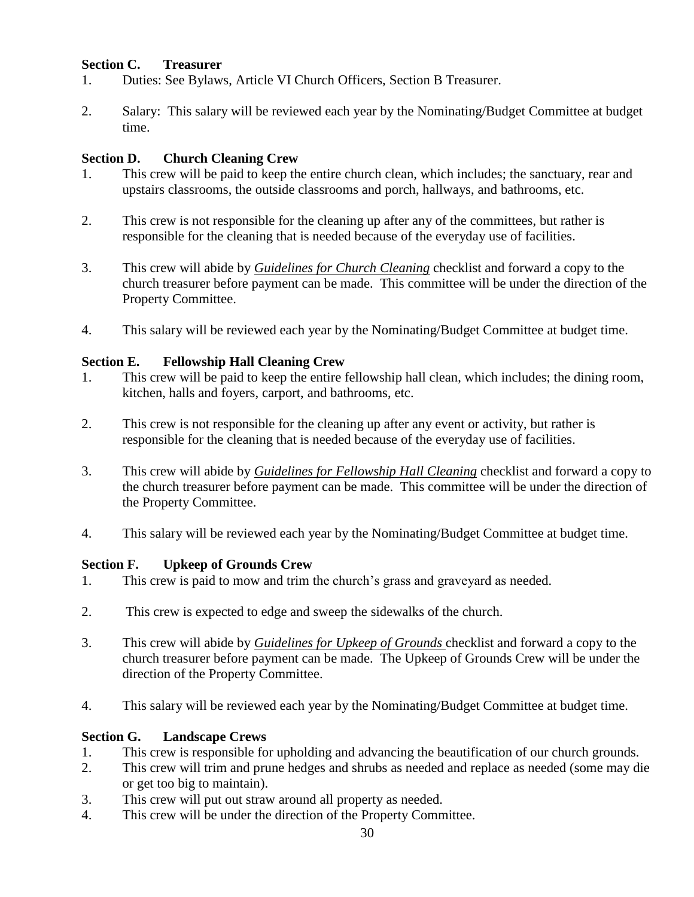#### **Section C. Treasurer**

- 1. Duties: See Bylaws, Article VI Church Officers, Section B Treasurer.
- 2. Salary: This salary will be reviewed each year by the Nominating/Budget Committee at budget time.

#### **Section D. Church Cleaning Crew**

- 1. This crew will be paid to keep the entire church clean, which includes; the sanctuary, rear and upstairs classrooms, the outside classrooms and porch, hallways, and bathrooms, etc.
- 2. This crew is not responsible for the cleaning up after any of the committees, but rather is responsible for the cleaning that is needed because of the everyday use of facilities.
- 3. This crew will abide by *Guidelines for Church Cleaning* checklist and forward a copy to the church treasurer before payment can be made. This committee will be under the direction of the Property Committee.
- 4. This salary will be reviewed each year by the Nominating/Budget Committee at budget time.

#### **Section E. Fellowship Hall Cleaning Crew**

- 1. This crew will be paid to keep the entire fellowship hall clean, which includes; the dining room, kitchen, halls and foyers, carport, and bathrooms, etc.
- 2. This crew is not responsible for the cleaning up after any event or activity, but rather is responsible for the cleaning that is needed because of the everyday use of facilities.
- 3. This crew will abide by *Guidelines for Fellowship Hall Cleaning* checklist and forward a copy to the church treasurer before payment can be made. This committee will be under the direction of the Property Committee.
- 4. This salary will be reviewed each year by the Nominating/Budget Committee at budget time.

#### **Section F. Upkeep of Grounds Crew**

- 1. This crew is paid to mow and trim the church's grass and graveyard as needed.
- 2. This crew is expected to edge and sweep the sidewalks of the church.
- 3. This crew will abide by *Guidelines for Upkeep of Grounds* checklist and forward a copy to the church treasurer before payment can be made. The Upkeep of Grounds Crew will be under the direction of the Property Committee.
- 4. This salary will be reviewed each year by the Nominating/Budget Committee at budget time.

#### **Section G. Landscape Crews**

- 1. This crew is responsible for upholding and advancing the beautification of our church grounds.
- 2. This crew will trim and prune hedges and shrubs as needed and replace as needed (some may die or get too big to maintain).
- 3. This crew will put out straw around all property as needed.
- 4. This crew will be under the direction of the Property Committee.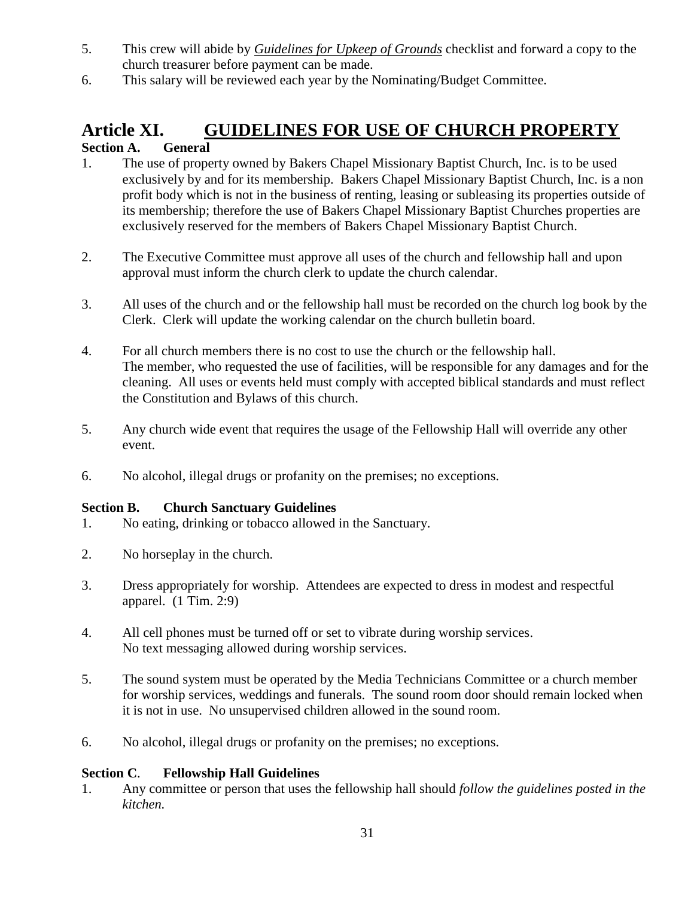- 5. This crew will abide by *Guidelines for Upkeep of Grounds* checklist and forward a copy to the church treasurer before payment can be made.
- 6. This salary will be reviewed each year by the Nominating/Budget Committee.

### **Article XI. GUIDELINES FOR USE OF CHURCH PROPERTY Section A. General**

- 1. The use of property owned by Bakers Chapel Missionary Baptist Church, Inc. is to be used exclusively by and for its membership. Bakers Chapel Missionary Baptist Church, Inc. is a non profit body which is not in the business of renting, leasing or subleasing its properties outside of its membership; therefore the use of Bakers Chapel Missionary Baptist Churches properties are exclusively reserved for the members of Bakers Chapel Missionary Baptist Church.
- 2. The Executive Committee must approve all uses of the church and fellowship hall and upon approval must inform the church clerk to update the church calendar.
- 3. All uses of the church and or the fellowship hall must be recorded on the church log book by the Clerk. Clerk will update the working calendar on the church bulletin board.
- 4. For all church members there is no cost to use the church or the fellowship hall. The member, who requested the use of facilities, will be responsible for any damages and for the cleaning. All uses or events held must comply with accepted biblical standards and must reflect the Constitution and Bylaws of this church.
- 5. Any church wide event that requires the usage of the Fellowship Hall will override any other event.
- 6. No alcohol, illegal drugs or profanity on the premises; no exceptions.

#### **Section B. Church Sanctuary Guidelines**

- 1. No eating, drinking or tobacco allowed in the Sanctuary.
- 2. No horseplay in the church.
- 3. Dress appropriately for worship. Attendees are expected to dress in modest and respectful apparel. (1 Tim. 2:9)
- 4. All cell phones must be turned off or set to vibrate during worship services. No text messaging allowed during worship services.
- 5. The sound system must be operated by the Media Technicians Committee or a church member for worship services, weddings and funerals. The sound room door should remain locked when it is not in use. No unsupervised children allowed in the sound room.
- 6. No alcohol, illegal drugs or profanity on the premises; no exceptions.

#### **Section C**. **Fellowship Hall Guidelines**

1. Any committee or person that uses the fellowship hall should *follow the guidelines posted in the kitchen.*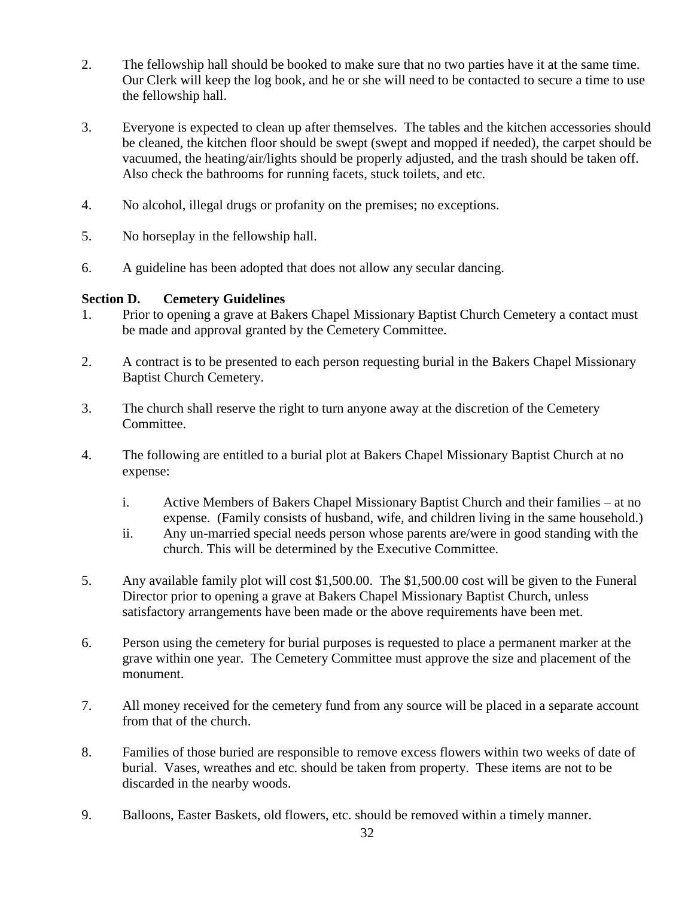- 2. The fellowship hall should be booked to make sure that no two parties have it at the same time. Our Clerk will keep the log book, and he or she will need to be contacted to secure a time to use the fellowship hall.
- 3. Everyone is expected to clean up after themselves. The tables and the kitchen accessories should be cleaned, the kitchen floor should be swept (swept and mopped if needed), the carpet should be vacuumed, the heating/air/lights should be properly adjusted, and the trash should be taken off. Also check the bathrooms for running facets, stuck toilets, and etc.
- 4. No alcohol, illegal drugs or profanity on the premises; no exceptions.
- 5. No horseplay in the fellowship hall.
- 6. A guideline has been adopted that does not allow any secular dancing.

#### **Section D. Cemetery Guidelines**

- 1. Prior to opening a grave at Bakers Chapel Missionary Baptist Church Cemetery a contact must be made and approval granted by the Cemetery Committee.
- 2. A contract is to be presented to each person requesting burial in the Bakers Chapel Missionary Baptist Church Cemetery.
- 3. The church shall reserve the right to turn anyone away at the discretion of the Cemetery Committee.
- 4. The following are entitled to a burial plot at Bakers Chapel Missionary Baptist Church at no expense:
	- i. Active Members of Bakers Chapel Missionary Baptist Church and their families at no expense. (Family consists of husband, wife, and children living in the same household.)
	- ii. Any un-married special needs person whose parents are/were in good standing with the church. This will be determined by the Executive Committee.
- 5. Any available family plot will cost \$1,500.00. The \$1,500.00 cost will be given to the Funeral Director prior to opening a grave at Bakers Chapel Missionary Baptist Church, unless satisfactory arrangements have been made or the above requirements have been met.
- 6. Person using the cemetery for burial purposes is requested to place a permanent marker at the grave within one year. The Cemetery Committee must approve the size and placement of the monument.
- 7. All money received for the cemetery fund from any source will be placed in a separate account from that of the church.
- 8. Families of those buried are responsible to remove excess flowers within two weeks of date of burial. Vases, wreathes and etc. should be taken from property. These items are not to be discarded in the nearby woods.
- 9. Balloons, Easter Baskets, old flowers, etc. should be removed within a timely manner.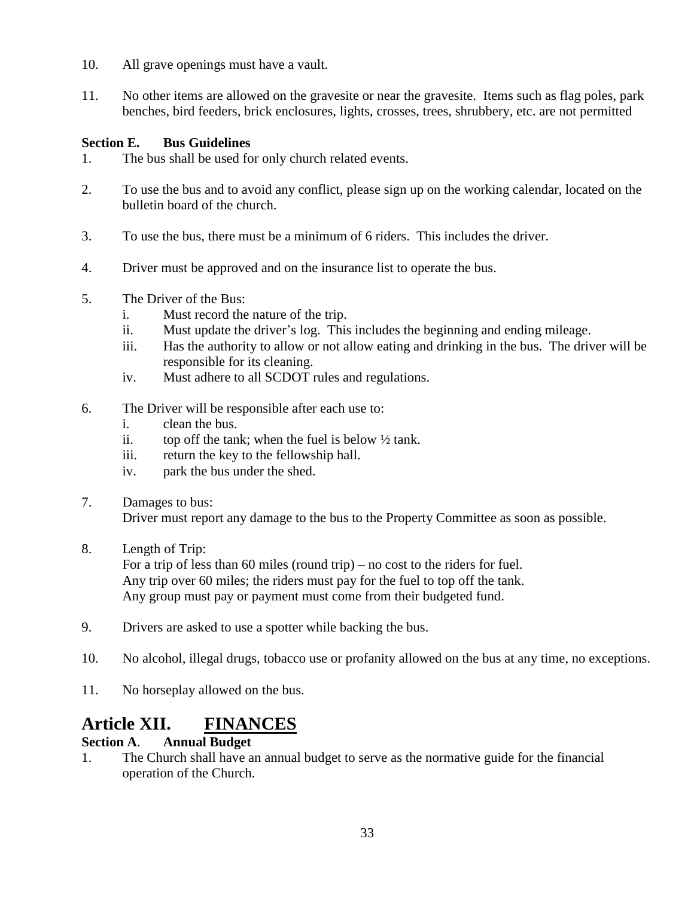- 10. All grave openings must have a vault.
- 11. No other items are allowed on the gravesite or near the gravesite. Items such as flag poles, park benches, bird feeders, brick enclosures, lights, crosses, trees, shrubbery, etc. are not permitted

#### **Section E. Bus Guidelines**

- 1. The bus shall be used for only church related events.
- 2. To use the bus and to avoid any conflict, please sign up on the working calendar, located on the bulletin board of the church.
- 3. To use the bus, there must be a minimum of 6 riders. This includes the driver.
- 4. Driver must be approved and on the insurance list to operate the bus.
- 5. The Driver of the Bus:
	- i. Must record the nature of the trip.
	- ii. Must update the driver's log. This includes the beginning and ending mileage.
	- iii. Has the authority to allow or not allow eating and drinking in the bus. The driver will be responsible for its cleaning.
	- iv. Must adhere to all SCDOT rules and regulations.
- 6. The Driver will be responsible after each use to:
	- i. clean the bus.
	- ii. top off the tank; when the fuel is below  $\frac{1}{2}$  tank.
	- iii. return the key to the fellowship hall.
	- iv. park the bus under the shed.
- 7. Damages to bus:

Driver must report any damage to the bus to the Property Committee as soon as possible.

8. Length of Trip:

For a trip of less than 60 miles (round trip) – no cost to the riders for fuel. Any trip over 60 miles; the riders must pay for the fuel to top off the tank. Any group must pay or payment must come from their budgeted fund.

- 9. Drivers are asked to use a spotter while backing the bus.
- 10. No alcohol, illegal drugs, tobacco use or profanity allowed on the bus at any time, no exceptions.
- 11. No horseplay allowed on the bus.

# **Article XII. FINANCES**

### **Section A**. **Annual Budget**

1. The Church shall have an annual budget to serve as the normative guide for the financial operation of the Church.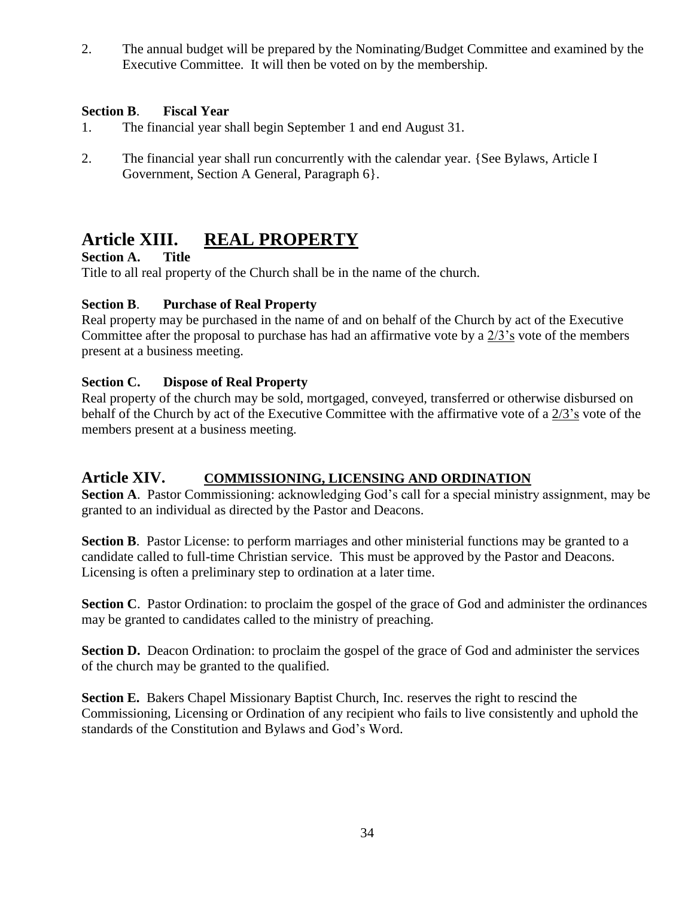2. The annual budget will be prepared by the Nominating/Budget Committee and examined by the Executive Committee. It will then be voted on by the membership.

#### **Section B**. **Fiscal Year**

- 1. The financial year shall begin September 1 and end August 31.
- 2. The financial year shall run concurrently with the calendar year. {See Bylaws, Article I Government, Section A General, Paragraph 6}.

# **Article XIII. REAL PROPERTY**

#### **Section A. Title**

Title to all real property of the Church shall be in the name of the church.

#### **Section B**. **Purchase of Real Property**

Real property may be purchased in the name of and on behalf of the Church by act of the Executive Committee after the proposal to purchase has had an affirmative vote by a 2/3's vote of the members present at a business meeting.

#### **Section C. Dispose of Real Property**

Real property of the church may be sold, mortgaged, conveyed, transferred or otherwise disbursed on behalf of the Church by act of the Executive Committee with the affirmative vote of a 2/3's vote of the members present at a business meeting.

#### **Article XIV. COMMISSIONING, LICENSING AND ORDINATION**

**Section A**. Pastor Commissioning: acknowledging God's call for a special ministry assignment, may be granted to an individual as directed by the Pastor and Deacons.

**Section B.** Pastor License: to perform marriages and other ministerial functions may be granted to a candidate called to full-time Christian service. This must be approved by the Pastor and Deacons. Licensing is often a preliminary step to ordination at a later time.

**Section C**. Pastor Ordination: to proclaim the gospel of the grace of God and administer the ordinances may be granted to candidates called to the ministry of preaching.

**Section D.** Deacon Ordination: to proclaim the gospel of the grace of God and administer the services of the church may be granted to the qualified.

**Section E.** Bakers Chapel Missionary Baptist Church, Inc. reserves the right to rescind the Commissioning, Licensing or Ordination of any recipient who fails to live consistently and uphold the standards of the Constitution and Bylaws and God's Word.